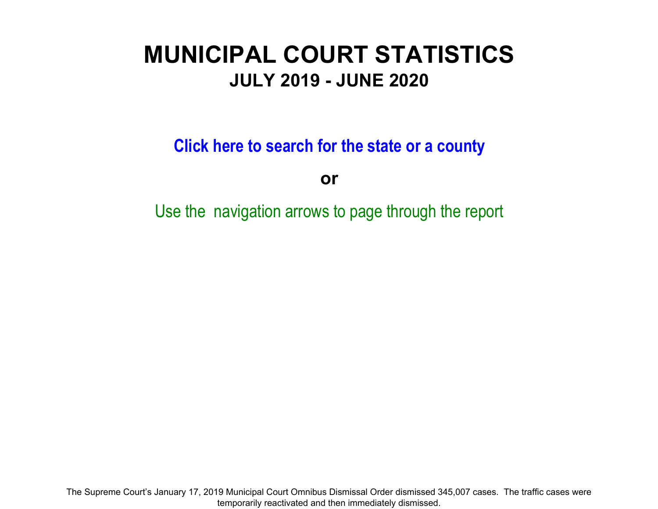# **MUNICIPAL COURT STATISTICS JULY 2019 - JUNE 2020**

**Click here to search for the state or a count y**

**or**

Use the navigation arrows to page through the report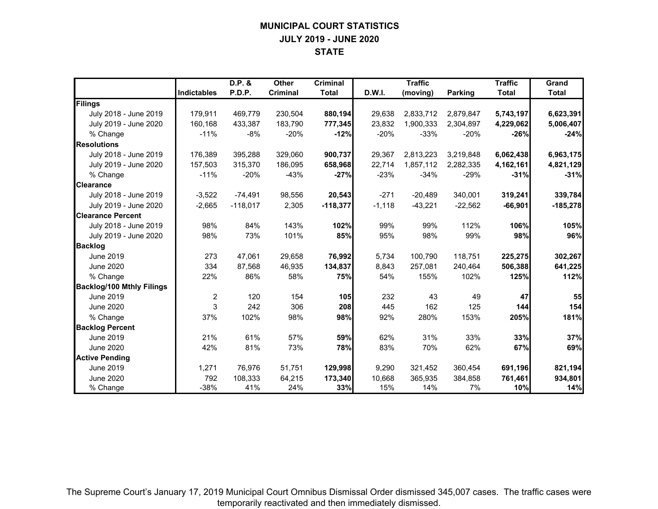# **MUNICIPAL COURT STATISTICS JULY 2019 - JUNE 2020 STATE**

|                                  |                | D.P. &     | <b>Other</b> | <b>Criminal</b> |          | <b>Traffic</b> |           | <b>Traffic</b> | Grand        |
|----------------------------------|----------------|------------|--------------|-----------------|----------|----------------|-----------|----------------|--------------|
|                                  | Indictables    | P.D.P.     | Criminal     | <b>Total</b>    | D.W.I.   | (moving)       | Parking   | <b>Total</b>   | <b>Total</b> |
| Filings                          |                |            |              |                 |          |                |           |                |              |
| July 2018 - June 2019            | 179,911        | 469,779    | 230,504      | 880,194         | 29,638   | 2,833,712      | 2,879,847 | 5,743,197      | 6,623,391    |
| July 2019 - June 2020            | 160,168        | 433,387    | 183,790      | 777,345         | 23,832   | 1,900,333      | 2,304,897 | 4,229,062      | 5,006,407    |
| % Change                         | $-11%$         | $-8%$      | $-20%$       | $-12%$          | $-20%$   | $-33%$         | $-20%$    | $-26%$         | $-24%$       |
| <b>Resolutions</b>               |                |            |              |                 |          |                |           |                |              |
| July 2018 - June 2019            | 176,389        | 395,288    | 329,060      | 900,737         | 29,367   | 2,813,223      | 3,219,848 | 6,062,438      | 6,963,175    |
| July 2019 - June 2020            | 157,503        | 315.370    | 186.095      | 658,968         | 22,714   | 1,857,112      | 2,282,335 | 4,162,161      | 4,821,129    |
| % Change                         | $-11%$         | $-20%$     | $-43%$       | $-27%$          | $-23%$   | $-34%$         | $-29%$    | $-31%$         | $-31%$       |
| <b>Clearance</b>                 |                |            |              |                 |          |                |           |                |              |
| July 2018 - June 2019            | $-3,522$       | $-74,491$  | 98,556       | 20,543          | $-271$   | $-20,489$      | 340,001   | 319,241        | 339,784      |
| July 2019 - June 2020            | $-2,665$       | $-118,017$ | 2,305        | $-118,377$      | $-1,118$ | $-43,221$      | $-22,562$ | $-66,901$      | $-185,278$   |
| <b>Clearance Percent</b>         |                |            |              |                 |          |                |           |                |              |
| July 2018 - June 2019            | 98%            | 84%        | 143%         | 102%            | 99%      | 99%            | 112%      | 106%           | 105%         |
| July 2019 - June 2020            | 98%            | 73%        | 101%         | 85%             | 95%      | 98%            | 99%       | 98%            | 96%          |
| <b>Backlog</b>                   |                |            |              |                 |          |                |           |                |              |
| <b>June 2019</b>                 | 273            | 47,061     | 29,658       | 76,992          | 5,734    | 100,790        | 118,751   | 225,275        | 302,267      |
| <b>June 2020</b>                 | 334            | 87,568     | 46,935       | 134,837         | 8,843    | 257,081        | 240,464   | 506,388        | 641,225      |
| % Change                         | 22%            | 86%        | 58%          | 75%             | 54%      | 155%           | 102%      | 125%           | 112%         |
| <b>Backlog/100 Mthly Filings</b> |                |            |              |                 |          |                |           |                |              |
| June 2019                        | $\overline{2}$ | 120        | 154          | 105             | 232      | 43             | 49        | 47             | 55           |
| <b>June 2020</b>                 | 3              | 242        | 306          | 208             | 445      | 162            | 125       | 144            | 154          |
| % Change                         | 37%            | 102%       | 98%          | 98%             | 92%      | 280%           | 153%      | 205%           | 181%         |
| <b>Backlog Percent</b>           |                |            |              |                 |          |                |           |                |              |
| <b>June 2019</b>                 | 21%            | 61%        | 57%          | 59%             | 62%      | 31%            | 33%       | 33%            | 37%          |
| <b>June 2020</b>                 | 42%            | 81%        | 73%          | 78%             | 83%      | 70%            | 62%       | 67%            | 69%          |
| <b>Active Pending</b>            |                |            |              |                 |          |                |           |                |              |
| June 2019                        | 1,271          | 76,976     | 51,751       | 129,998         | 9,290    | 321,452        | 360,454   | 691,196        | 821,194      |
| <b>June 2020</b>                 | 792            | 108,333    | 64,215       | 173,340         | 10,668   | 365,935        | 384,858   | 761,461        | 934,801      |
| % Change                         | $-38%$         | 41%        | 24%          | 33%             | 15%      | 14%            | 7%        | 10%            | 14%          |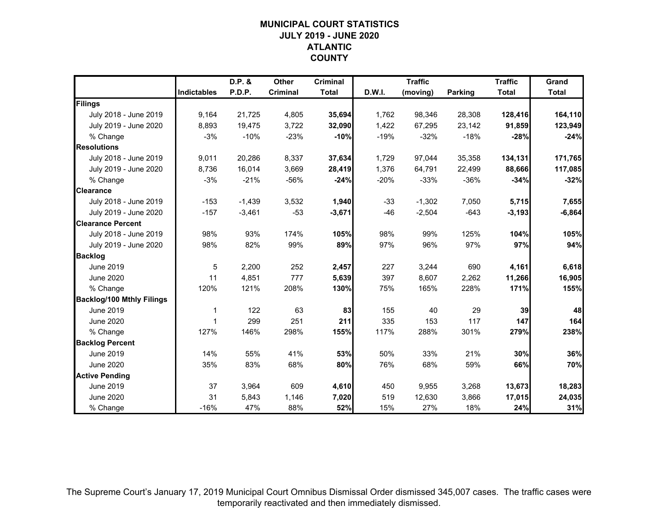# **MUNICIPAL COURT STATISTICSJULY 2019 - JUNE 2020ATLANTIC COUNTY**

|                                  |                    | D.P. &   | Other           | <b>Criminal</b> |        | <b>Traffic</b> |                | <b>Traffic</b> | Grand        |
|----------------------------------|--------------------|----------|-----------------|-----------------|--------|----------------|----------------|----------------|--------------|
|                                  | <b>Indictables</b> | P.D.P.   | <b>Criminal</b> | <b>Total</b>    | D.W.I. | (moving)       | <b>Parking</b> | <b>Total</b>   | <b>Total</b> |
| Filings                          |                    |          |                 |                 |        |                |                |                |              |
| July 2018 - June 2019            | 9,164              | 21,725   | 4,805           | 35,694          | 1,762  | 98,346         | 28,308         | 128,416        | 164,110      |
| July 2019 - June 2020            | 8,893              | 19,475   | 3,722           | 32,090          | 1,422  | 67,295         | 23,142         | 91,859         | 123,949      |
| % Change                         | $-3%$              | $-10%$   | $-23%$          | $-10%$          | $-19%$ | $-32%$         | $-18%$         | $-28%$         | $-24%$       |
| <b>Resolutions</b>               |                    |          |                 |                 |        |                |                |                |              |
| July 2018 - June 2019            | 9,011              | 20,286   | 8,337           | 37,634          | 1,729  | 97,044         | 35,358         | 134,131        | 171,765      |
| July 2019 - June 2020            | 8,736              | 16,014   | 3,669           | 28,419          | 1,376  | 64,791         | 22,499         | 88,666         | 117,085      |
| % Change                         | $-3%$              | $-21%$   | -56%            | $-24%$          | $-20%$ | $-33%$         | $-36%$         | $-34%$         | $-32%$       |
| <b>Clearance</b>                 |                    |          |                 |                 |        |                |                |                |              |
| July 2018 - June 2019            | $-153$             | $-1,439$ | 3,532           | 1,940           | $-33$  | $-1,302$       | 7,050          | 5,715          | 7,655        |
| July 2019 - June 2020            | $-157$             | $-3,461$ | $-53$           | $-3,671$        | $-46$  | $-2,504$       | $-643$         | $-3,193$       | $-6,864$     |
| <b>Clearance Percent</b>         |                    |          |                 |                 |        |                |                |                |              |
| July 2018 - June 2019            | 98%                | 93%      | 174%            | 105%            | 98%    | 99%            | 125%           | 104%           | 105%         |
| July 2019 - June 2020            | 98%                | 82%      | 99%             | 89%             | 97%    | 96%            | 97%            | 97%            | 94%          |
| <b>Backlog</b>                   |                    |          |                 |                 |        |                |                |                |              |
| <b>June 2019</b>                 | 5                  | 2,200    | 252             | 2,457           | 227    | 3,244          | 690            | 4,161          | 6,618        |
| <b>June 2020</b>                 | 11                 | 4,851    | 777             | 5,639           | 397    | 8,607          | 2,262          | 11,266         | 16,905       |
| % Change                         | 120%               | 121%     | 208%            | 130%            | 75%    | 165%           | 228%           | 171%           | 155%         |
| <b>Backlog/100 Mthly Filings</b> |                    |          |                 |                 |        |                |                |                |              |
| June 2019                        | 1                  | 122      | 63              | 83              | 155    | 40             | 29             | 39             | 48           |
| <b>June 2020</b>                 | 1                  | 299      | 251             | 211             | 335    | 153            | 117            | 147            | 164          |
| % Change                         | 127%               | 146%     | 298%            | 155%            | 117%   | 288%           | 301%           | 279%           | 238%         |
| <b>Backlog Percent</b>           |                    |          |                 |                 |        |                |                |                |              |
| <b>June 2019</b>                 | 14%                | 55%      | 41%             | 53%             | 50%    | 33%            | 21%            | 30%            | 36%          |
| <b>June 2020</b>                 | 35%                | 83%      | 68%             | 80%             | 76%    | 68%            | 59%            | 66%            | 70%          |
| <b>Active Pending</b>            |                    |          |                 |                 |        |                |                |                |              |
| June 2019                        | 37                 | 3,964    | 609             | 4,610           | 450    | 9,955          | 3,268          | 13,673         | 18,283       |
| <b>June 2020</b>                 | 31                 | 5,843    | 1,146           | 7,020           | 519    | 12,630         | 3,866          | 17,015         | 24,035       |
| % Change                         | $-16%$             | 47%      | 88%             | 52%             | 15%    | 27%            | 18%            | 24%            | 31%          |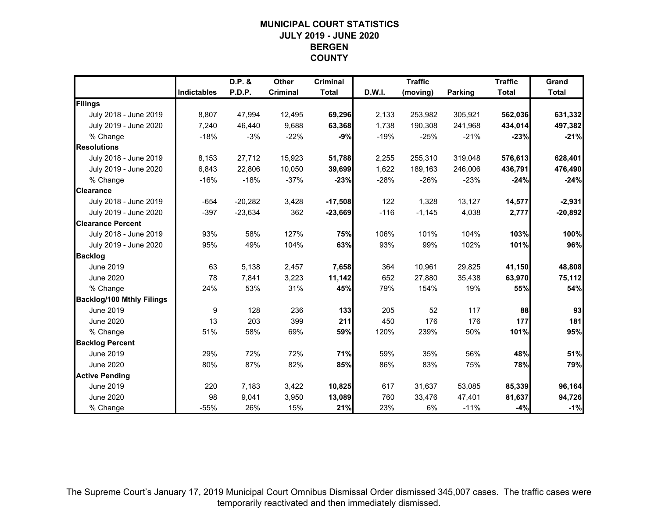# **MUNICIPAL COURT STATISTICSJULY 2019 - JUNE 2020BERGENCOUNTY**

|                                  |                    | D.P. &    | Other           | <b>Criminal</b> |        | <b>Traffic</b> |                | <b>Traffic</b> | Grand        |
|----------------------------------|--------------------|-----------|-----------------|-----------------|--------|----------------|----------------|----------------|--------------|
|                                  | <b>Indictables</b> | P.D.P.    | <b>Criminal</b> | <b>Total</b>    | D.W.I. | (moving)       | <b>Parking</b> | <b>Total</b>   | <b>Total</b> |
| Filings                          |                    |           |                 |                 |        |                |                |                |              |
| July 2018 - June 2019            | 8,807              | 47,994    | 12,495          | 69,296          | 2,133  | 253,982        | 305,921        | 562,036        | 631,332      |
| July 2019 - June 2020            | 7.240              | 46.440    | 9,688           | 63,368          | 1,738  | 190,308        | 241,968        | 434,014        | 497,382      |
| % Change                         | $-18%$             | $-3%$     | $-22%$          | $-9%$           | $-19%$ | $-25%$         | $-21%$         | $-23%$         | $-21%$       |
| <b>Resolutions</b>               |                    |           |                 |                 |        |                |                |                |              |
| July 2018 - June 2019            | 8,153              | 27,712    | 15,923          | 51,788          | 2,255  | 255,310        | 319,048        | 576,613        | 628,401      |
| July 2019 - June 2020            | 6,843              | 22,806    | 10,050          | 39,699          | 1,622  | 189,163        | 246,006        | 436,791        | 476,490      |
| % Change                         | $-16%$             | $-18%$    | $-37%$          | $-23%$          | $-28%$ | $-26%$         | $-23%$         | $-24%$         | $-24%$       |
| <b>Clearance</b>                 |                    |           |                 |                 |        |                |                |                |              |
| July 2018 - June 2019            | $-654$             | $-20,282$ | 3,428           | $-17,508$       | 122    | 1,328          | 13,127         | 14,577         | $-2,931$     |
| July 2019 - June 2020            | $-397$             | $-23,634$ | 362             | $-23,669$       | $-116$ | $-1,145$       | 4,038          | 2,777          | $-20,892$    |
| <b>Clearance Percent</b>         |                    |           |                 |                 |        |                |                |                |              |
| July 2018 - June 2019            | 93%                | 58%       | 127%            | 75%             | 106%   | 101%           | 104%           | 103%           | 100%         |
| July 2019 - June 2020            | 95%                | 49%       | 104%            | 63%             | 93%    | 99%            | 102%           | 101%           | 96%          |
| <b>Backlog</b>                   |                    |           |                 |                 |        |                |                |                |              |
| <b>June 2019</b>                 | 63                 | 5,138     | 2,457           | 7,658           | 364    | 10,961         | 29,825         | 41,150         | 48,808       |
| <b>June 2020</b>                 | 78                 | 7,841     | 3,223           | 11,142          | 652    | 27,880         | 35,438         | 63,970         | 75,112       |
| % Change                         | 24%                | 53%       | 31%             | 45%             | 79%    | 154%           | 19%            | 55%            | 54%          |
| <b>Backlog/100 Mthly Filings</b> |                    |           |                 |                 |        |                |                |                |              |
| June 2019                        | 9                  | 128       | 236             | $133$           | 205    | 52             | 117            | 88             | 93           |
| <b>June 2020</b>                 | 13                 | 203       | 399             | 211             | 450    | 176            | 176            | 177            | 181          |
| % Change                         | 51%                | 58%       | 69%             | 59%             | 120%   | 239%           | 50%            | 101%           | 95%          |
| <b>Backlog Percent</b>           |                    |           |                 |                 |        |                |                |                |              |
| <b>June 2019</b>                 | 29%                | 72%       | 72%             | 71%             | 59%    | 35%            | 56%            | 48%            | 51%          |
| <b>June 2020</b>                 | 80%                | 87%       | 82%             | 85%             | 86%    | 83%            | 75%            | 78%            | 79%          |
| <b>Active Pending</b>            |                    |           |                 |                 |        |                |                |                |              |
| June 2019                        | 220                | 7,183     | 3,422           | 10,825          | 617    | 31,637         | 53,085         | 85,339         | 96,164       |
| <b>June 2020</b>                 | 98                 | 9,041     | 3,950           | 13,089          | 760    | 33,476         | 47,401         | 81,637         | 94,726       |
| % Change                         | $-55%$             | 26%       | 15%             | 21%             | 23%    | 6%             | $-11%$         | $-4%$          | $-1%$        |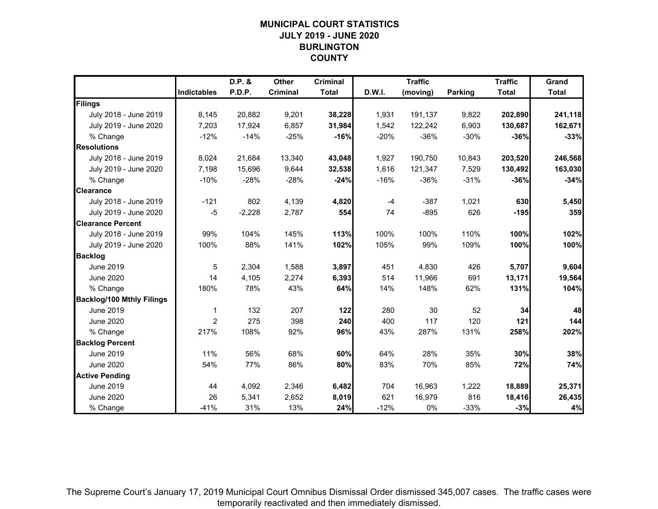# **MUNICIPAL COURT STATISTICSJULY 2019 - JUNE 2020BURLINGTON COUNTY**

|                                  |                    | D.P. &   | Other           | <b>Criminal</b> |        | <b>Traffic</b> |                | <b>Traffic</b> | Grand        |
|----------------------------------|--------------------|----------|-----------------|-----------------|--------|----------------|----------------|----------------|--------------|
|                                  | <b>Indictables</b> | P.D.P.   | <b>Criminal</b> | <b>Total</b>    | D.W.I. | (moving)       | <b>Parking</b> | <b>Total</b>   | <b>Total</b> |
| Filings                          |                    |          |                 |                 |        |                |                |                |              |
| July 2018 - June 2019            | 8,145              | 20,882   | 9,201           | 38,228          | 1,931  | 191,137        | 9,822          | 202,890        | 241,118      |
| July 2019 - June 2020            | 7,203              | 17,924   | 6,857           | 31,984          | 1,542  | 122,242        | 6,903          | 130,687        | 162,671      |
| % Change                         | $-12%$             | $-14%$   | $-25%$          | $-16%$          | $-20%$ | $-36%$         | $-30%$         | $-36%$         | $-33%$       |
| <b>Resolutions</b>               |                    |          |                 |                 |        |                |                |                |              |
| July 2018 - June 2019            | 8,024              | 21,684   | 13,340          | 43,048          | 1,927  | 190,750        | 10,843         | 203,520        | 246,568      |
| July 2019 - June 2020            | 7,198              | 15,696   | 9,644           | 32,538          | 1,616  | 121,347        | 7,529          | 130,492        | 163,030      |
| % Change                         | $-10%$             | $-28%$   | $-28%$          | $-24%$          | $-16%$ | $-36%$         | $-31%$         | $-36%$         | $-34%$       |
| <b>Clearance</b>                 |                    |          |                 |                 |        |                |                |                |              |
| July 2018 - June 2019            | $-121$             | 802      | 4,139           | 4,820           | $-4$   | $-387$         | 1,021          | 630            | 5,450        |
| July 2019 - June 2020            | $-5$               | $-2,228$ | 2,787           | 554             | 74     | $-895$         | 626            | $-195$         | 359          |
| <b>Clearance Percent</b>         |                    |          |                 |                 |        |                |                |                |              |
| July 2018 - June 2019            | 99%                | 104%     | 145%            | 113%            | 100%   | 100%           | 110%           | 100%           | 102%         |
| July 2019 - June 2020            | 100%               | 88%      | 141%            | 102%            | 105%   | 99%            | 109%           | 100%           | 100%         |
| <b>Backlog</b>                   |                    |          |                 |                 |        |                |                |                |              |
| <b>June 2019</b>                 | 5                  | 2,304    | 1,588           | 3,897           | 451    | 4,830          | 426            | 5,707          | 9,604        |
| <b>June 2020</b>                 | 14                 | 4,105    | 2,274           | 6,393           | 514    | 11,966         | 691            | 13,171         | 19,564       |
| % Change                         | 180%               | 78%      | 43%             | 64%             | 14%    | 148%           | 62%            | 131%           | 104%         |
| <b>Backlog/100 Mthly Filings</b> |                    |          |                 |                 |        |                |                |                |              |
| June 2019                        | 1                  | 132      | 207             | 122             | 280    | 30             | 52             | 34             | 48           |
| <b>June 2020</b>                 | 2                  | 275      | 398             | 240             | 400    | 117            | 120            | $121$          | 144          |
| % Change                         | 217%               | 108%     | 92%             | 96%             | 43%    | 287%           | 131%           | 258%           | 202%         |
| <b>Backlog Percent</b>           |                    |          |                 |                 |        |                |                |                |              |
| <b>June 2019</b>                 | 11%                | 56%      | 68%             | 60%             | 64%    | 28%            | 35%            | 30%            | 38%          |
| <b>June 2020</b>                 | 54%                | 77%      | 86%             | 80%             | 83%    | 70%            | 85%            | 72%            | 74%          |
| <b>Active Pending</b>            |                    |          |                 |                 |        |                |                |                |              |
| June 2019                        | 44                 | 4,092    | 2,346           | 6,482           | 704    | 16,963         | 1,222          | 18,889         | 25,371       |
| <b>June 2020</b>                 | 26                 | 5,341    | 2,652           | 8,019           | 621    | 16,979         | 816            | 18,416         | 26,435       |
| % Change                         | $-41%$             | 31%      | 13%             | 24%             | $-12%$ | 0%             | $-33%$         | $-3%$          | 4%           |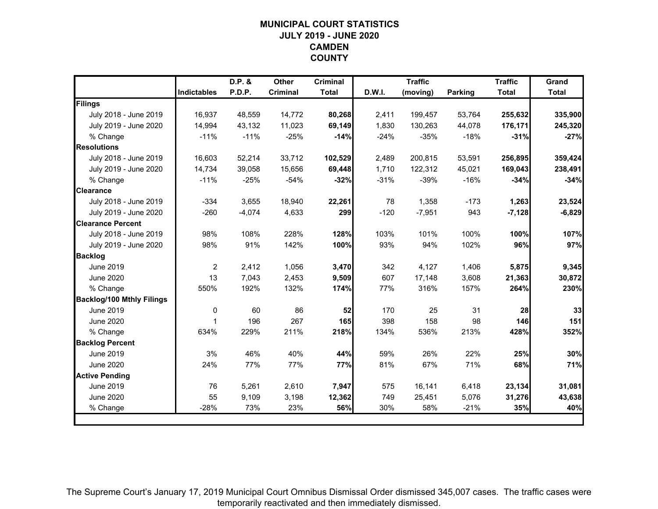# **MUNICIPAL COURT STATISTICSJULY 2019 - JUNE 2020CAMDENCOUNTY**

|                                  |                    | D.P. &   | <b>Other</b>    | <b>Criminal</b> |        | <b>Traffic</b> |         | <b>Traffic</b> | Grand        |
|----------------------------------|--------------------|----------|-----------------|-----------------|--------|----------------|---------|----------------|--------------|
|                                  | <b>Indictables</b> | P.D.P.   | <b>Criminal</b> | <b>Total</b>    | D.W.I. | (moving)       | Parking | <b>Total</b>   | <b>Total</b> |
| Filings                          |                    |          |                 |                 |        |                |         |                |              |
| July 2018 - June 2019            | 16.937             | 48,559   | 14.772          | 80,268          | 2,411  | 199,457        | 53.764  | 255,632        | 335,900      |
| July 2019 - June 2020            | 14,994             | 43,132   | 11,023          | 69,149          | 1,830  | 130,263        | 44,078  | 176,171        | 245,320      |
| % Change                         | $-11%$             | $-11%$   | $-25%$          | $-14%$          | $-24%$ | $-35%$         | $-18%$  | $-31%$         | $-27%$       |
| <b>Resolutions</b>               |                    |          |                 |                 |        |                |         |                |              |
| July 2018 - June 2019            | 16,603             | 52,214   | 33,712          | 102,529         | 2,489  | 200,815        | 53,591  | 256,895        | 359,424      |
| July 2019 - June 2020            | 14,734             | 39,058   | 15,656          | 69,448          | 1,710  | 122,312        | 45,021  | 169,043        | 238,491      |
| % Change                         | $-11%$             | $-25%$   | $-54%$          | $-32%$          | $-31%$ | $-39%$         | $-16%$  | $-34%$         | $-34%$       |
| <b>Clearance</b>                 |                    |          |                 |                 |        |                |         |                |              |
| July 2018 - June 2019            | $-334$             | 3,655    | 18,940          | 22,261          | 78     | 1,358          | $-173$  | 1,263          | 23,524       |
| July 2019 - June 2020            | $-260$             | $-4,074$ | 4,633           | 299             | $-120$ | $-7,951$       | 943     | $-7,128$       | $-6,829$     |
| <b>Clearance Percent</b>         |                    |          |                 |                 |        |                |         |                |              |
| July 2018 - June 2019            | 98%                | 108%     | 228%            | 128%            | 103%   | 101%           | 100%    | 100%           | 107%         |
| July 2019 - June 2020            | 98%                | 91%      | 142%            | 100%            | 93%    | 94%            | 102%    | 96%            | 97%          |
| <b>Backlog</b>                   |                    |          |                 |                 |        |                |         |                |              |
| <b>June 2019</b>                 | 2                  | 2,412    | 1,056           | 3,470           | 342    | 4,127          | 1,406   | 5,875          | 9,345        |
| <b>June 2020</b>                 | 13                 | 7,043    | 2,453           | 9,509           | 607    | 17,148         | 3,608   | 21,363         | 30,872       |
| % Change                         | 550%               | 192%     | 132%            | 174%            | 77%    | 316%           | 157%    | 264%           | 230%         |
| <b>Backlog/100 Mthly Filings</b> |                    |          |                 |                 |        |                |         |                |              |
| <b>June 2019</b>                 | 0                  | 60       | 86              | 52              | 170    | 25             | 31      | 28             | 33           |
| <b>June 2020</b>                 | 1                  | 196      | 267             | 165             | 398    | 158            | 98      | <b>146</b>     | 151          |
| % Change                         | 634%               | 229%     | 211%            | 218%            | 134%   | 536%           | 213%    | 428%           | 352%         |
| <b>Backlog Percent</b>           |                    |          |                 |                 |        |                |         |                |              |
| June 2019                        | 3%                 | 46%      | 40%             | 44%             | 59%    | 26%            | 22%     | 25%            | 30%          |
| <b>June 2020</b>                 | 24%                | 77%      | 77%             | 77%             | 81%    | 67%            | 71%     | 68%            | 71%          |
| <b>Active Pending</b>            |                    |          |                 |                 |        |                |         |                |              |
| <b>June 2019</b>                 | 76                 | 5,261    | 2,610           | 7,947           | 575    | 16,141         | 6,418   | 23,134         | 31,081       |
| <b>June 2020</b>                 | 55                 | 9,109    | 3,198           | 12,362          | 749    | 25,451         | 5,076   | 31,276         | 43,638       |
| % Change                         | $-28%$             | 73%      | 23%             | 56%             | 30%    | 58%            | $-21%$  | 35%            | 40%          |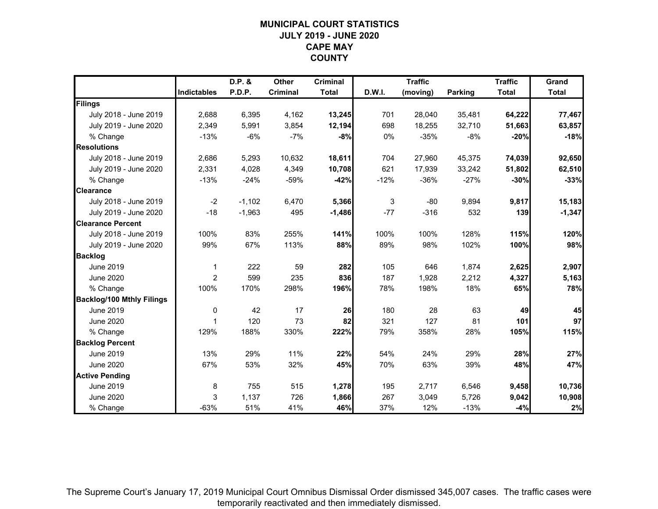# **MUNICIPAL COURT STATISTICSJULY 2019 - JUNE 2020CAPE MAYCOUNTY**

|                                  |                    | D.P. &   | Other           | <b>Criminal</b> |        | <b>Traffic</b> |         | <b>Traffic</b> | Grand        |
|----------------------------------|--------------------|----------|-----------------|-----------------|--------|----------------|---------|----------------|--------------|
|                                  | <b>Indictables</b> | P.D.P.   | <b>Criminal</b> | <b>Total</b>    | D.W.I. | (moving)       | Parking | <b>Total</b>   | <b>Total</b> |
| Filings                          |                    |          |                 |                 |        |                |         |                |              |
| July 2018 - June 2019            | 2,688              | 6,395    | 4,162           | 13,245          | 701    | 28,040         | 35,481  | 64,222         | 77,467       |
| July 2019 - June 2020            | 2,349              | 5,991    | 3,854           | 12,194          | 698    | 18,255         | 32,710  | 51,663         | 63,857       |
| % Change                         | $-13%$             | -6%      | -7%             | $-8%$           | 0%     | $-35%$         | $-8%$   | $-20%$         | $-18%$       |
| <b>Resolutions</b>               |                    |          |                 |                 |        |                |         |                |              |
| July 2018 - June 2019            | 2,686              | 5,293    | 10,632          | 18,611          | 704    | 27,960         | 45,375  | 74,039         | 92,650       |
| July 2019 - June 2020            | 2,331              | 4,028    | 4,349           | 10,708          | 621    | 17,939         | 33,242  | 51,802         | 62,510       |
| % Change                         | $-13%$             | $-24%$   | $-59%$          | $-42%$          | $-12%$ | $-36%$         | $-27%$  | $-30%$         | $-33%$       |
| <b>Clearance</b>                 |                    |          |                 |                 |        |                |         |                |              |
| July 2018 - June 2019            | $-2$               | $-1,102$ | 6,470           | 5,366           | 3      | $-80$          | 9,894   | 9,817          | 15,183       |
| July 2019 - June 2020            | $-18$              | $-1,963$ | 495             | $-1,486$        | $-77$  | $-316$         | 532     | 139            | $-1,347$     |
| <b>Clearance Percent</b>         |                    |          |                 |                 |        |                |         |                |              |
| July 2018 - June 2019            | 100%               | 83%      | 255%            | 141%            | 100%   | 100%           | 128%    | 115%           | 120%         |
| July 2019 - June 2020            | 99%                | 67%      | 113%            | 88%             | 89%    | 98%            | 102%    | 100%           | 98%          |
| <b>Backlog</b>                   |                    |          |                 |                 |        |                |         |                |              |
| <b>June 2019</b>                 | $\mathbf{1}$       | 222      | 59              | 282             | 105    | 646            | 1,874   | 2,625          | 2,907        |
| <b>June 2020</b>                 | $\overline{c}$     | 599      | 235             | 836             | 187    | 1,928          | 2,212   | 4,327          | 5,163        |
| % Change                         | 100%               | 170%     | 298%            | 196%            | 78%    | 198%           | 18%     | 65%            | 78%          |
| <b>Backlog/100 Mthly Filings</b> |                    |          |                 |                 |        |                |         |                |              |
| <b>June 2019</b>                 | $\mathbf 0$        | 42       | 17              | 26              | 180    | 28             | 63      | 49             | 45           |
| <b>June 2020</b>                 | 1                  | 120      | 73              | 82              | 321    | 127            | 81      | 101            | 97           |
| % Change                         | 129%               | 188%     | 330%            | 222%            | 79%    | 358%           | 28%     | 105%           | 115%         |
| <b>Backlog Percent</b>           |                    |          |                 |                 |        |                |         |                |              |
| <b>June 2019</b>                 | 13%                | 29%      | 11%             | 22%             | 54%    | 24%            | 29%     | 28%            | 27%          |
| <b>June 2020</b>                 | 67%                | 53%      | 32%             | 45%             | 70%    | 63%            | 39%     | 48%            | 47%          |
| <b>Active Pending</b>            |                    |          |                 |                 |        |                |         |                |              |
| June 2019                        | 8                  | 755      | 515             | 1,278           | 195    | 2,717          | 6,546   | 9,458          | 10,736       |
| <b>June 2020</b>                 | 3                  | 1,137    | 726             | 1,866           | 267    | 3,049          | 5,726   | 9,042          | 10,908       |
| % Change                         | $-63%$             | 51%      | 41%             | 46%             | 37%    | 12%            | $-13%$  | $-4%$          | 2%           |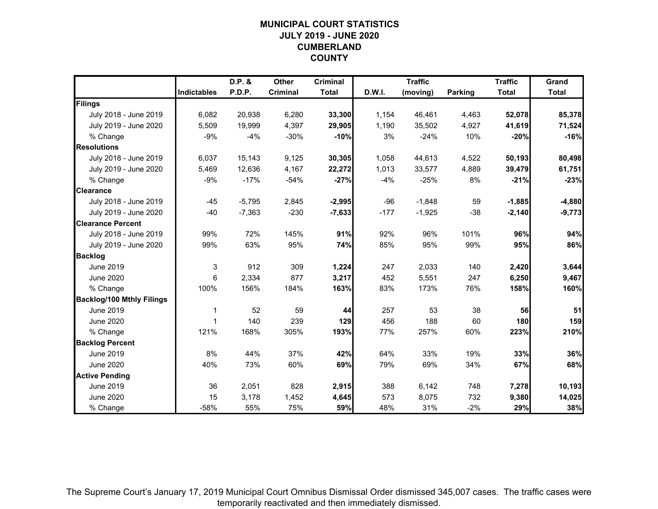# **MUNICIPAL COURT STATISTICSJULY 2019 - JUNE 2020CUMBERLAND COUNTY**

|                                  |                    | D.P. &   | Other           | <b>Criminal</b> |        | <b>Traffic</b> |                | <b>Traffic</b> | Grand        |
|----------------------------------|--------------------|----------|-----------------|-----------------|--------|----------------|----------------|----------------|--------------|
|                                  | <b>Indictables</b> | P.D.P.   | <b>Criminal</b> | <b>Total</b>    | D.W.I. | (moving)       | <b>Parking</b> | <b>Total</b>   | <b>Total</b> |
| Filings                          |                    |          |                 |                 |        |                |                |                |              |
| July 2018 - June 2019            | 6,082              | 20,938   | 6,280           | 33,300          | 1,154  | 46,461         | 4,463          | 52,078         | 85,378       |
| July 2019 - June 2020            | 5,509              | 19,999   | 4,397           | 29,905          | 1,190  | 35,502         | 4,927          | 41,619         | 71,524       |
| % Change                         | $-9%$              | $-4%$    | $-30%$          | $-10%$          | 3%     | $-24%$         | 10%            | $-20%$         | $-16%$       |
| <b>Resolutions</b>               |                    |          |                 |                 |        |                |                |                |              |
| July 2018 - June 2019            | 6,037              | 15,143   | 9,125           | 30,305          | 1,058  | 44,613         | 4,522          | 50,193         | 80,498       |
| July 2019 - June 2020            | 5,469              | 12,636   | 4,167           | 22,272          | 1,013  | 33,577         | 4,889          | 39,479         | 61,751       |
| % Change                         | $-9%$              | $-17%$   | $-54%$          | $-27%$          | $-4%$  | $-25%$         | 8%             | $-21%$         | $-23%$       |
| <b>Clearance</b>                 |                    |          |                 |                 |        |                |                |                |              |
| July 2018 - June 2019            | $-45$              | $-5,795$ | 2,845           | $-2,995$        | $-96$  | $-1,848$       | 59             | $-1,885$       | $-4,880$     |
| July 2019 - June 2020            | $-40$              | $-7,363$ | $-230$          | $-7,633$        | $-177$ | $-1,925$       | $-38$          | $-2,140$       | $-9,773$     |
| <b>Clearance Percent</b>         |                    |          |                 |                 |        |                |                |                |              |
| July 2018 - June 2019            | 99%                | 72%      | 145%            | 91%             | 92%    | 96%            | 101%           | 96%            | 94%          |
| July 2019 - June 2020            | 99%                | 63%      | 95%             | 74%             | 85%    | 95%            | 99%            | 95%            | 86%          |
| <b>Backlog</b>                   |                    |          |                 |                 |        |                |                |                |              |
| <b>June 2019</b>                 | 3                  | 912      | 309             | 1,224           | 247    | 2,033          | 140            | 2,420          | 3,644        |
| <b>June 2020</b>                 | 6                  | 2,334    | 877             | 3,217           | 452    | 5,551          | 247            | 6,250          | 9,467        |
| % Change                         | 100%               | 156%     | 184%            | 163%            | 83%    | 173%           | 76%            | 158%           | 160%         |
| <b>Backlog/100 Mthly Filings</b> |                    |          |                 |                 |        |                |                |                |              |
| <b>June 2019</b>                 | 1                  | 52       | 59              | 44              | 257    | 53             | 38             | 56             | 51           |
| <b>June 2020</b>                 | 1                  | 140      | 239             | 129             | 456    | 188            | 60             | 180            | 159          |
| % Change                         | 121%               | 168%     | 305%            | 193%            | 77%    | 257%           | 60%            | 223%           | 210%         |
| <b>Backlog Percent</b>           |                    |          |                 |                 |        |                |                |                |              |
| <b>June 2019</b>                 | 8%                 | 44%      | 37%             | 42%             | 64%    | 33%            | 19%            | 33%            | 36%          |
| <b>June 2020</b>                 | 40%                | 73%      | 60%             | 69%             | 79%    | 69%            | 34%            | 67%            | 68%          |
| <b>Active Pending</b>            |                    |          |                 |                 |        |                |                |                |              |
| <b>June 2019</b>                 | 36                 | 2,051    | 828             | 2,915           | 388    | 6,142          | 748            | 7,278          | 10,193       |
| <b>June 2020</b>                 | 15                 | 3,178    | 1,452           | 4,645           | 573    | 8,075          | 732            | 9,380          | 14,025       |
| % Change                         | $-58%$             | 55%      | 75%             | 59%             | 48%    | 31%            | $-2%$          | 29%            | 38%          |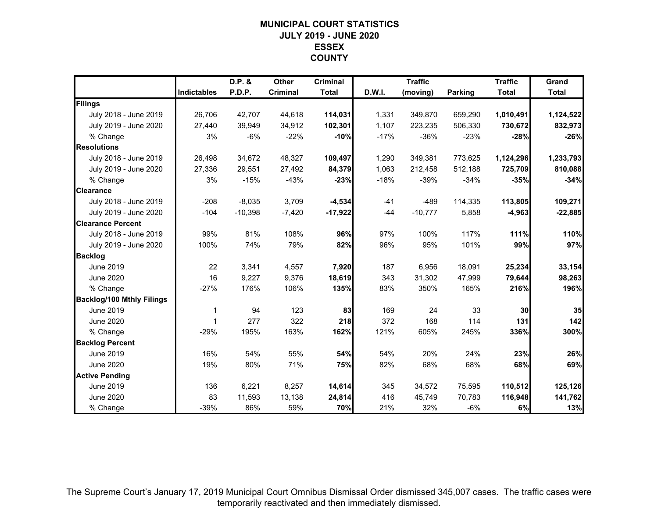# **MUNICIPAL COURT STATISTICSJULY 2019 - JUNE 2020ESSEXCOUNTY**

|                                  |                    | D.P. &    | Other           | <b>Criminal</b> |        | <b>Traffic</b> |                | <b>Traffic</b> | Grand        |
|----------------------------------|--------------------|-----------|-----------------|-----------------|--------|----------------|----------------|----------------|--------------|
|                                  | <b>Indictables</b> | P.D.P.    | <b>Criminal</b> | <b>Total</b>    | D.W.I. | (moving)       | <b>Parking</b> | <b>Total</b>   | <b>Total</b> |
| Filings                          |                    |           |                 |                 |        |                |                |                |              |
| July 2018 - June 2019            | 26,706             | 42,707    | 44,618          | 114,031         | 1,331  | 349,870        | 659,290        | 1,010,491      | 1,124,522    |
| July 2019 - June 2020            | 27.440             | 39.949    | 34,912          | 102,301         | 1.107  | 223,235        | 506,330        | 730,672        | 832,973      |
| % Change                         | 3%                 | $-6%$     | $-22%$          | $-10%$          | $-17%$ | $-36%$         | $-23%$         | $-28%$         | $-26%$       |
| <b>Resolutions</b>               |                    |           |                 |                 |        |                |                |                |              |
| July 2018 - June 2019            | 26,498             | 34,672    | 48,327          | 109,497         | 1,290  | 349,381        | 773,625        | 1,124,296      | 1,233,793    |
| July 2019 - June 2020            | 27,336             | 29,551    | 27,492          | 84,379          | 1,063  | 212,458        | 512,188        | 725,709        | 810,088      |
| % Change                         | 3%                 | $-15%$    | $-43%$          | $-23%$          | $-18%$ | $-39%$         | $-34%$         | $-35%$         | $-34%$       |
| <b>Clearance</b>                 |                    |           |                 |                 |        |                |                |                |              |
| July 2018 - June 2019            | $-208$             | $-8,035$  | 3,709           | $-4,534$        | $-41$  | $-489$         | 114,335        | 113,805        | 109,271      |
| July 2019 - June 2020            | $-104$             | $-10,398$ | $-7,420$        | $-17,922$       | $-44$  | $-10,777$      | 5,858          | $-4,963$       | $-22,885$    |
| <b>Clearance Percent</b>         |                    |           |                 |                 |        |                |                |                |              |
| July 2018 - June 2019            | 99%                | 81%       | 108%            | 96%             | 97%    | 100%           | 117%           | 111%           | 110%         |
| July 2019 - June 2020            | 100%               | 74%       | 79%             | 82%             | 96%    | 95%            | 101%           | 99%            | 97%          |
| <b>Backlog</b>                   |                    |           |                 |                 |        |                |                |                |              |
| <b>June 2019</b>                 | 22                 | 3,341     | 4,557           | 7,920           | 187    | 6,956          | 18,091         | 25,234         | 33,154       |
| <b>June 2020</b>                 | 16                 | 9,227     | 9,376           | 18,619          | 343    | 31,302         | 47,999         | 79,644         | 98,263       |
| % Change                         | $-27%$             | 176%      | 106%            | 135%            | 83%    | 350%           | 165%           | 216%           | 196%         |
| <b>Backlog/100 Mthly Filings</b> |                    |           |                 |                 |        |                |                |                |              |
| June 2019                        | 1                  | 94        | 123             | 83              | 169    | 24             | 33             | 30             | 35           |
| <b>June 2020</b>                 | 1                  | 277       | 322             | 218             | 372    | 168            | 114            | 131            | 142          |
| % Change                         | $-29%$             | 195%      | 163%            | 162%            | 121%   | 605%           | 245%           | 336%           | 300%         |
| <b>Backlog Percent</b>           |                    |           |                 |                 |        |                |                |                |              |
| June 2019                        | 16%                | 54%       | 55%             | 54%             | 54%    | 20%            | 24%            | 23%            | 26%          |
| <b>June 2020</b>                 | 19%                | 80%       | 71%             | 75%             | 82%    | 68%            | 68%            | 68%            | 69%          |
| <b>Active Pending</b>            |                    |           |                 |                 |        |                |                |                |              |
| June 2019                        | 136                | 6,221     | 8,257           | 14,614          | 345    | 34,572         | 75,595         | 110,512        | 125,126      |
| <b>June 2020</b>                 | 83                 | 11,593    | 13,138          | 24,814          | 416    | 45,749         | 70,783         | 116,948        | 141,762      |
| % Change                         | $-39%$             | 86%       | 59%             | 70%             | 21%    | 32%            | $-6%$          | 6%             | 13%          |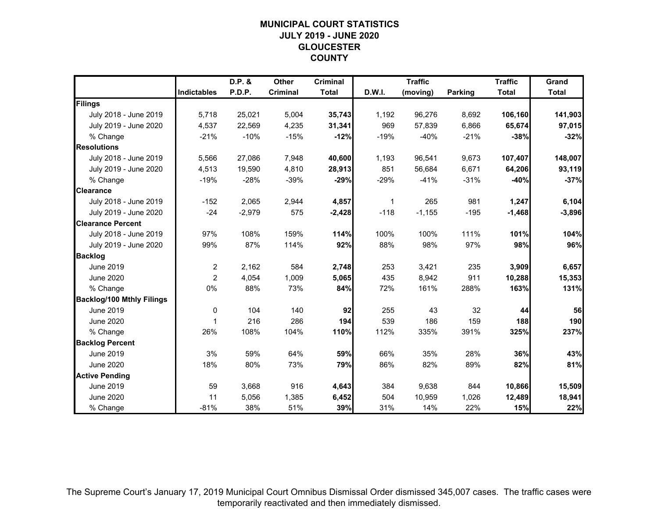# **MUNICIPAL COURT STATISTICSJULY 2019 - JUNE 2020GLOUCESTER COUNTY**

|                                  |                    | D.P. &   | Other           | <b>Criminal</b> |        | <b>Traffic</b> |         | <b>Traffic</b> | Grand        |
|----------------------------------|--------------------|----------|-----------------|-----------------|--------|----------------|---------|----------------|--------------|
|                                  | <b>Indictables</b> | P.D.P.   | <b>Criminal</b> | <b>Total</b>    | D.W.I. | (moving)       | Parking | <b>Total</b>   | <b>Total</b> |
| Filings                          |                    |          |                 |                 |        |                |         |                |              |
| July 2018 - June 2019            | 5,718              | 25,021   | 5,004           | 35,743          | 1,192  | 96,276         | 8,692   | 106,160        | 141,903      |
| July 2019 - June 2020            | 4,537              | 22,569   | 4,235           | 31,341          | 969    | 57,839         | 6,866   | 65,674         | 97,015       |
| % Change                         | $-21%$             | $-10%$   | $-15%$          | $-12%$          | $-19%$ | $-40%$         | $-21%$  | $-38%$         | $-32%$       |
| <b>Resolutions</b>               |                    |          |                 |                 |        |                |         |                |              |
| July 2018 - June 2019            | 5,566              | 27,086   | 7,948           | 40,600          | 1,193  | 96,541         | 9,673   | 107,407        | 148,007      |
| July 2019 - June 2020            | 4,513              | 19,590   | 4,810           | 28,913          | 851    | 56,684         | 6,671   | 64,206         | 93,119       |
| % Change                         | $-19%$             | $-28%$   | $-39%$          | $-29%$          | $-29%$ | $-41%$         | $-31%$  | $-40%$         | $-37%$       |
| <b>Clearance</b>                 |                    |          |                 |                 |        |                |         |                |              |
| July 2018 - June 2019            | $-152$             | 2,065    | 2,944           | 4,857           | 1      | 265            | 981     | 1,247          | 6,104        |
| July 2019 - June 2020            | $-24$              | $-2,979$ | 575             | $-2,428$        | $-118$ | $-1,155$       | $-195$  | $-1,468$       | $-3,896$     |
| <b>Clearance Percent</b>         |                    |          |                 |                 |        |                |         |                |              |
| July 2018 - June 2019            | 97%                | 108%     | 159%            | 114%            | 100%   | 100%           | 111%    | 101%           | 104%         |
| July 2019 - June 2020            | 99%                | 87%      | 114%            | 92%             | 88%    | 98%            | 97%     | 98%            | 96%          |
| <b>Backlog</b>                   |                    |          |                 |                 |        |                |         |                |              |
| <b>June 2019</b>                 | 2                  | 2,162    | 584             | 2,748           | 253    | 3,421          | 235     | 3,909          | 6,657        |
| <b>June 2020</b>                 | 2                  | 4,054    | 1,009           | 5,065           | 435    | 8,942          | 911     | 10,288         | 15,353       |
| % Change                         | 0%                 | 88%      | 73%             | 84%             | 72%    | 161%           | 288%    | 163%           | 131%         |
| <b>Backlog/100 Mthly Filings</b> |                    |          |                 |                 |        |                |         |                |              |
| <b>June 2019</b>                 | 0                  | 104      | 140             | 92              | 255    | 43             | 32      | 44             | 56           |
| <b>June 2020</b>                 | 1                  | 216      | 286             | 194             | 539    | 186            | 159     | 188            | 190          |
| % Change                         | 26%                | 108%     | 104%            | 110%            | 112%   | 335%           | 391%    | 325%           | 237%         |
| <b>Backlog Percent</b>           |                    |          |                 |                 |        |                |         |                |              |
| June 2019                        | 3%                 | 59%      | 64%             | 59%             | 66%    | 35%            | 28%     | 36%            | 43%          |
| <b>June 2020</b>                 | 18%                | 80%      | 73%             | 79%             | 86%    | 82%            | 89%     | 82%            | 81%          |
| <b>Active Pending</b>            |                    |          |                 |                 |        |                |         |                |              |
| June 2019                        | 59                 | 3,668    | 916             | 4,643           | 384    | 9,638          | 844     | 10,866         | 15,509       |
| <b>June 2020</b>                 | 11                 | 5,056    | 1,385           | 6,452           | 504    | 10,959         | 1,026   | 12,489         | 18,941       |
| % Change                         | $-81%$             | 38%      | 51%             | 39%             | 31%    | 14%            | 22%     | 15%            | 22%          |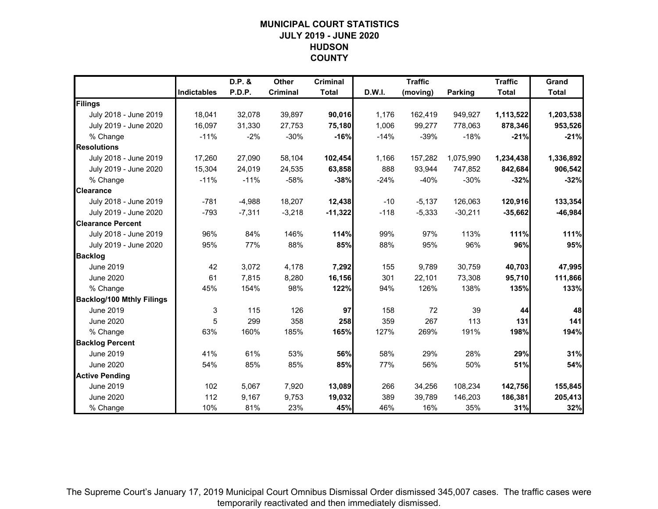# **MUNICIPAL COURT STATISTICSJULY 2019 - JUNE 2020HUDSONCOUNTY**

|                                  |             | D.P. &   | Other           | <b>Criminal</b> |        | <b>Traffic</b> |           | <b>Traffic</b> | Grand        |
|----------------------------------|-------------|----------|-----------------|-----------------|--------|----------------|-----------|----------------|--------------|
|                                  | Indictables | P.D.P.   | <b>Criminal</b> | <b>Total</b>    | D.W.I. | (moving)       | Parking   | <b>Total</b>   | <b>Total</b> |
| Filings                          |             |          |                 |                 |        |                |           |                |              |
| July 2018 - June 2019            | 18,041      | 32,078   | 39,897          | 90,016          | 1,176  | 162,419        | 949,927   | 1,113,522      | 1,203,538    |
| July 2019 - June 2020            | 16,097      | 31,330   | 27.753          | 75,180          | 1,006  | 99,277         | 778,063   | 878,346        | 953,526      |
| % Change                         | $-11%$      | $-2%$    | $-30%$          | $-16%$          | $-14%$ | $-39%$         | $-18%$    | $-21%$         | $-21%$       |
| <b>Resolutions</b>               |             |          |                 |                 |        |                |           |                |              |
| July 2018 - June 2019            | 17,260      | 27,090   | 58,104          | 102,454         | 1,166  | 157,282        | 1,075,990 | 1,234,438      | 1,336,892    |
| July 2019 - June 2020            | 15,304      | 24,019   | 24,535          | 63,858          | 888    | 93,944         | 747,852   | 842,684        | 906,542      |
| % Change                         | $-11%$      | $-11%$   | $-58%$          | $-38%$          | $-24%$ | $-40%$         | $-30%$    | $-32%$         | $-32%$       |
| <b>Clearance</b>                 |             |          |                 |                 |        |                |           |                |              |
| July 2018 - June 2019            | $-781$      | $-4,988$ | 18,207          | 12,438          | $-10$  | $-5,137$       | 126,063   | 120,916        | 133,354      |
| July 2019 - June 2020            | $-793$      | $-7,311$ | $-3,218$        | $-11,322$       | $-118$ | $-5,333$       | $-30,211$ | $-35,662$      | $-46,984$    |
| <b>Clearance Percent</b>         |             |          |                 |                 |        |                |           |                |              |
| July 2018 - June 2019            | 96%         | 84%      | 146%            | 114%            | 99%    | 97%            | 113%      | 111%           | 111%         |
| July 2019 - June 2020            | 95%         | 77%      | 88%             | 85%             | 88%    | 95%            | 96%       | 96%            | 95%          |
| <b>Backlog</b>                   |             |          |                 |                 |        |                |           |                |              |
| <b>June 2019</b>                 | 42          | 3,072    | 4,178           | 7,292           | 155    | 9,789          | 30,759    | 40,703         | 47,995       |
| <b>June 2020</b>                 | 61          | 7,815    | 8,280           | 16,156          | 301    | 22,101         | 73,308    | 95,710         | 111,866      |
| % Change                         | 45%         | 154%     | 98%             | 122%            | 94%    | 126%           | 138%      | 135%           | 133%         |
| <b>Backlog/100 Mthly Filings</b> |             |          |                 |                 |        |                |           |                |              |
| June 2019                        | 3           | 115      | 126             | 97              | 158    | 72             | 39        | 44             | 48           |
| <b>June 2020</b>                 | 5           | 299      | 358             | 258             | 359    | 267            | 113       | 131            | 141          |
| % Change                         | 63%         | 160%     | 185%            | 165%            | 127%   | 269%           | 191%      | 198%           | 194%         |
| <b>Backlog Percent</b>           |             |          |                 |                 |        |                |           |                |              |
| <b>June 2019</b>                 | 41%         | 61%      | 53%             | 56%             | 58%    | 29%            | 28%       | 29%            | 31%          |
| <b>June 2020</b>                 | 54%         | 85%      | 85%             | 85%             | 77%    | 56%            | 50%       | 51%            | 54%          |
| <b>Active Pending</b>            |             |          |                 |                 |        |                |           |                |              |
| June 2019                        | 102         | 5,067    | 7,920           | 13,089          | 266    | 34,256         | 108,234   | 142,756        | 155,845      |
| <b>June 2020</b>                 | 112         | 9,167    | 9,753           | 19,032          | 389    | 39,789         | 146,203   | 186,381        | 205,413      |
| % Change                         | 10%         | 81%      | 23%             | 45%             | 46%    | 16%            | 35%       | 31%            | 32%          |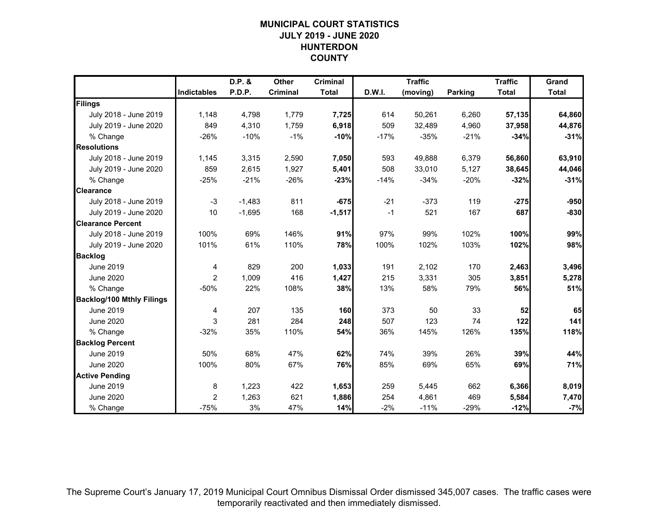# **MUNICIPAL COURT STATISTICSJULY 2019 - JUNE 2020HUNTERDONCOUNTY**

|                                  |                    | D.P. &   | Other           | <b>Criminal</b> |        | <b>Traffic</b> |         | <b>Traffic</b> | Grand        |
|----------------------------------|--------------------|----------|-----------------|-----------------|--------|----------------|---------|----------------|--------------|
|                                  | <b>Indictables</b> | P.D.P.   | <b>Criminal</b> | <b>Total</b>    | D.W.I. | (moving)       | Parking | <b>Total</b>   | <b>Total</b> |
| Filings                          |                    |          |                 |                 |        |                |         |                |              |
| July 2018 - June 2019            | 1,148              | 4,798    | 1,779           | 7,725           | 614    | 50,261         | 6,260   | 57,135         | 64,860       |
| July 2019 - June 2020            | 849                | 4,310    | 1,759           | 6,918           | 509    | 32,489         | 4,960   | 37,958         | 44,876       |
| % Change                         | $-26%$             | $-10%$   | $-1%$           | $-10%$          | $-17%$ | $-35%$         | $-21%$  | $-34%$         | $-31%$       |
| <b>Resolutions</b>               |                    |          |                 |                 |        |                |         |                |              |
| July 2018 - June 2019            | 1,145              | 3,315    | 2,590           | 7,050           | 593    | 49,888         | 6,379   | 56,860         | 63,910       |
| July 2019 - June 2020            | 859                | 2,615    | 1,927           | 5,401           | 508    | 33,010         | 5,127   | 38,645         | 44,046       |
| % Change                         | $-25%$             | $-21%$   | $-26%$          | $-23%$          | $-14%$ | $-34%$         | $-20%$  | $-32%$         | $-31%$       |
| <b>Clearance</b>                 |                    |          |                 |                 |        |                |         |                |              |
| July 2018 - June 2019            | $-3$               | $-1,483$ | 811             | $-675$          | $-21$  | $-373$         | 119     | $-275$         | $-950$       |
| July 2019 - June 2020            | 10                 | $-1,695$ | 168             | $-1,517$        | $-1$   | 521            | 167     | 687            | $-830$       |
| <b>Clearance Percent</b>         |                    |          |                 |                 |        |                |         |                |              |
| July 2018 - June 2019            | 100%               | 69%      | 146%            | 91%             | 97%    | 99%            | 102%    | 100%           | 99%          |
| July 2019 - June 2020            | 101%               | 61%      | 110%            | 78%             | 100%   | 102%           | 103%    | 102%           | 98%          |
| <b>Backlog</b>                   |                    |          |                 |                 |        |                |         |                |              |
| <b>June 2019</b>                 | 4                  | 829      | 200             | 1,033           | 191    | 2,102          | 170     | 2,463          | 3,496        |
| <b>June 2020</b>                 | $\overline{c}$     | 1,009    | 416             | 1,427           | 215    | 3,331          | 305     | 3,851          | 5,278        |
| % Change                         | $-50%$             | 22%      | 108%            | 38%             | 13%    | 58%            | 79%     | 56%            | 51%          |
| <b>Backlog/100 Mthly Filings</b> |                    |          |                 |                 |        |                |         |                |              |
| <b>June 2019</b>                 | 4                  | 207      | 135             | 160             | 373    | 50             | 33      | 52             | 65           |
| <b>June 2020</b>                 | 3                  | 281      | 284             | 248             | 507    | 123            | 74      | $122$          | 141          |
| % Change                         | $-32%$             | 35%      | 110%            | 54%             | 36%    | 145%           | 126%    | 135%           | 118%         |
| <b>Backlog Percent</b>           |                    |          |                 |                 |        |                |         |                |              |
| June 2019                        | 50%                | 68%      | 47%             | 62%             | 74%    | 39%            | 26%     | 39%            | 44%          |
| <b>June 2020</b>                 | 100%               | 80%      | 67%             | 76%             | 85%    | 69%            | 65%     | 69%            | 71%          |
| <b>Active Pending</b>            |                    |          |                 |                 |        |                |         |                |              |
| <b>June 2019</b>                 | 8                  | 1,223    | 422             | 1,653           | 259    | 5,445          | 662     | 6,366          | 8,019        |
| <b>June 2020</b>                 | $\overline{2}$     | 1,263    | 621             | 1,886           | 254    | 4,861          | 469     | 5,584          | 7,470        |
| % Change                         | $-75%$             | 3%       | 47%             | 14%             | $-2%$  | $-11%$         | $-29%$  | $-12%$         | $-7%$        |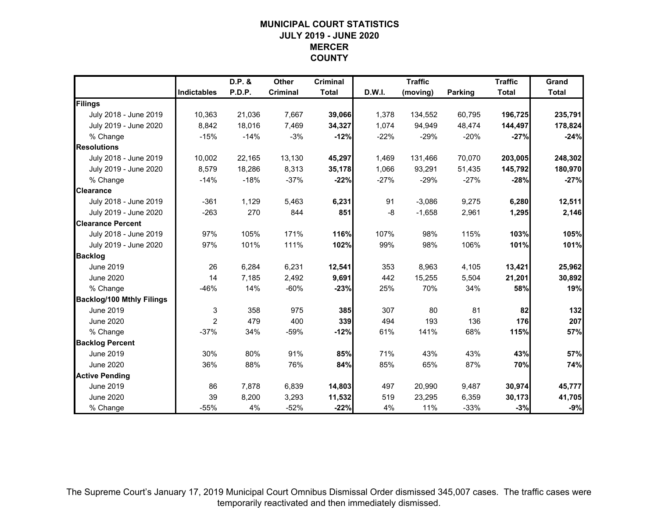# **MUNICIPAL COURT STATISTICSJULY 2019 - JUNE 2020MERCERCOUNTY**

|                                  |                    | D.P. & | Other           | <b>Criminal</b> |        | <b>Traffic</b> |                | <b>Traffic</b> | Grand        |
|----------------------------------|--------------------|--------|-----------------|-----------------|--------|----------------|----------------|----------------|--------------|
|                                  | <b>Indictables</b> | P.D.P. | <b>Criminal</b> | <b>Total</b>    | D.W.I. | (moving)       | <b>Parking</b> | <b>Total</b>   | <b>Total</b> |
| Filings                          |                    |        |                 |                 |        |                |                |                |              |
| July 2018 - June 2019            | 10,363             | 21,036 | 7,667           | 39,066          | 1,378  | 134,552        | 60,795         | 196,725        | 235,791      |
| July 2019 - June 2020            | 8,842              | 18,016 | 7,469           | 34,327          | 1,074  | 94,949         | 48,474         | 144,497        | 178,824      |
| % Change                         | $-15%$             | $-14%$ | $-3%$           | $-12%$          | $-22%$ | $-29%$         | $-20%$         | $-27%$         | $-24%$       |
| <b>Resolutions</b>               |                    |        |                 |                 |        |                |                |                |              |
| July 2018 - June 2019            | 10,002             | 22,165 | 13,130          | 45,297          | 1,469  | 131,466        | 70,070         | 203,005        | 248,302      |
| July 2019 - June 2020            | 8,579              | 18,286 | 8,313           | 35,178          | 1,066  | 93,291         | 51,435         | 145,792        | 180,970      |
| % Change                         | $-14%$             | $-18%$ | $-37%$          | $-22%$          | $-27%$ | $-29%$         | $-27%$         | $-28%$         | $-27%$       |
| <b>Clearance</b>                 |                    |        |                 |                 |        |                |                |                |              |
| July 2018 - June 2019            | $-361$             | 1,129  | 5,463           | 6,231           | 91     | $-3,086$       | 9,275          | 6,280          | 12,511       |
| July 2019 - June 2020            | $-263$             | 270    | 844             | 851             | $-8$   | $-1,658$       | 2,961          | 1,295          | 2,146        |
| <b>Clearance Percent</b>         |                    |        |                 |                 |        |                |                |                |              |
| July 2018 - June 2019            | 97%                | 105%   | 171%            | 116%            | 107%   | 98%            | 115%           | 103%           | 105%         |
| July 2019 - June 2020            | 97%                | 101%   | 111%            | 102%            | 99%    | 98%            | 106%           | 101%           | 101%         |
| <b>Backlog</b>                   |                    |        |                 |                 |        |                |                |                |              |
| <b>June 2019</b>                 | 26                 | 6,284  | 6,231           | 12,541          | 353    | 8,963          | 4,105          | 13,421         | 25,962       |
| <b>June 2020</b>                 | 14                 | 7,185  | 2,492           | 9,691           | 442    | 15,255         | 5,504          | 21,201         | 30,892       |
| % Change                         | $-46%$             | 14%    | $-60%$          | $-23%$          | 25%    | 70%            | 34%            | 58%            | 19%          |
| <b>Backlog/100 Mthly Filings</b> |                    |        |                 |                 |        |                |                |                |              |
| June 2019                        | 3                  | 358    | 975             | 385             | 307    | 80             | 81             | 82             | 132          |
| <b>June 2020</b>                 | $\overline{2}$     | 479    | 400             | 339             | 494    | 193            | 136            | 176            | 207          |
| % Change                         | $-37%$             | 34%    | -59%            | $-12%$          | 61%    | 141%           | 68%            | 115%           | 57%          |
| <b>Backlog Percent</b>           |                    |        |                 |                 |        |                |                |                |              |
| <b>June 2019</b>                 | 30%                | 80%    | 91%             | 85%             | 71%    | 43%            | 43%            | 43%            | 57%          |
| <b>June 2020</b>                 | 36%                | 88%    | 76%             | 84%             | 85%    | 65%            | 87%            | 70%            | 74%          |
| <b>Active Pending</b>            |                    |        |                 |                 |        |                |                |                |              |
| June 2019                        | 86                 | 7,878  | 6,839           | 14,803          | 497    | 20,990         | 9,487          | 30,974         | 45,777       |
| <b>June 2020</b>                 | 39                 | 8,200  | 3,293           | 11,532          | 519    | 23,295         | 6,359          | 30,173         | 41,705       |
| % Change                         | $-55%$             | 4%     | $-52%$          | $-22%$          | 4%     | 11%            | $-33%$         | $-3%$          | $-9%$        |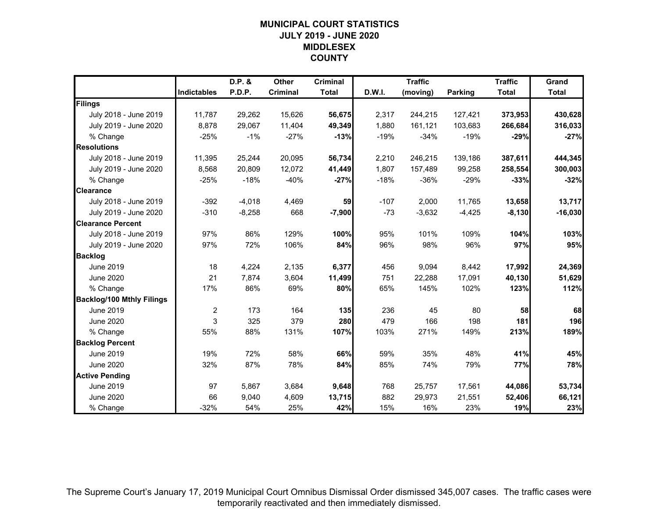# **MUNICIPAL COURT STATISTICSJULY 2019 - JUNE 2020MIDDLESEXCOUNTY**

|                                  |                    | D.P. &   | Other    | <b>Criminal</b> |        | <b>Traffic</b> |                | <b>Traffic</b> | Grand        |
|----------------------------------|--------------------|----------|----------|-----------------|--------|----------------|----------------|----------------|--------------|
|                                  | <b>Indictables</b> | P.D.P.   | Criminal | <b>Total</b>    | D.W.I. | (moving)       | <b>Parking</b> | <b>Total</b>   | <b>Total</b> |
| Filings                          |                    |          |          |                 |        |                |                |                |              |
| July 2018 - June 2019            | 11,787             | 29,262   | 15,626   | 56,675          | 2,317  | 244,215        | 127,421        | 373,953        | 430,628      |
| July 2019 - June 2020            | 8,878              | 29.067   | 11,404   | 49,349          | 1.880  | 161,121        | 103,683        | 266,684        | 316,033      |
| % Change                         | $-25%$             | $-1%$    | $-27%$   | $-13%$          | $-19%$ | $-34%$         | $-19%$         | $-29%$         | $-27%$       |
| <b>Resolutions</b>               |                    |          |          |                 |        |                |                |                |              |
| July 2018 - June 2019            | 11,395             | 25,244   | 20,095   | 56,734          | 2,210  | 246,215        | 139,186        | 387,611        | 444,345      |
| July 2019 - June 2020            | 8,568              | 20,809   | 12,072   | 41,449          | 1,807  | 157,489        | 99,258         | 258,554        | 300,003      |
| % Change                         | $-25%$             | $-18%$   | $-40%$   | $-27%$          | $-18%$ | $-36%$         | $-29%$         | $-33%$         | $-32%$       |
| <b>Clearance</b>                 |                    |          |          |                 |        |                |                |                |              |
| July 2018 - June 2019            | $-392$             | $-4,018$ | 4,469    | 59              | $-107$ | 2,000          | 11,765         | 13,658         | 13,717       |
| July 2019 - June 2020            | $-310$             | $-8,258$ | 668      | $-7,900$        | $-73$  | $-3,632$       | $-4,425$       | $-8,130$       | $-16,030$    |
| <b>Clearance Percent</b>         |                    |          |          |                 |        |                |                |                |              |
| July 2018 - June 2019            | 97%                | 86%      | 129%     | 100%            | 95%    | 101%           | 109%           | 104%           | 103%         |
| July 2019 - June 2020            | 97%                | 72%      | 106%     | 84%             | 96%    | 98%            | 96%            | 97%            | 95%          |
| <b>Backlog</b>                   |                    |          |          |                 |        |                |                |                |              |
| <b>June 2019</b>                 | 18                 | 4,224    | 2,135    | 6,377           | 456    | 9,094          | 8,442          | 17,992         | 24,369       |
| <b>June 2020</b>                 | 21                 | 7,874    | 3,604    | 11,499          | 751    | 22,288         | 17,091         | 40,130         | 51,629       |
| % Change                         | 17%                | 86%      | 69%      | 80%             | 65%    | 145%           | 102%           | 123%           | 112%         |
| <b>Backlog/100 Mthly Filings</b> |                    |          |          |                 |        |                |                |                |              |
| June 2019                        | $\overline{2}$     | 173      | 164      | 135             | 236    | 45             | 80             | 58             | 68           |
| <b>June 2020</b>                 | 3                  | 325      | 379      | 280             | 479    | 166            | 198            | 181            | 196          |
| % Change                         | 55%                | 88%      | 131%     | 107%            | 103%   | 271%           | 149%           | 213%           | 189%         |
| <b>Backlog Percent</b>           |                    |          |          |                 |        |                |                |                |              |
| <b>June 2019</b>                 | 19%                | 72%      | 58%      | 66%             | 59%    | 35%            | 48%            | 41%            | 45%          |
| <b>June 2020</b>                 | 32%                | 87%      | 78%      | 84%             | 85%    | 74%            | 79%            | 77%            | 78%          |
| <b>Active Pending</b>            |                    |          |          |                 |        |                |                |                |              |
| June 2019                        | 97                 | 5,867    | 3,684    | 9,648           | 768    | 25,757         | 17,561         | 44,086         | 53,734       |
| <b>June 2020</b>                 | 66                 | 9,040    | 4,609    | 13,715          | 882    | 29,973         | 21,551         | 52,406         | 66,121       |
| % Change                         | $-32%$             | 54%      | 25%      | 42%             | 15%    | 16%            | 23%            | 19%            | 23%          |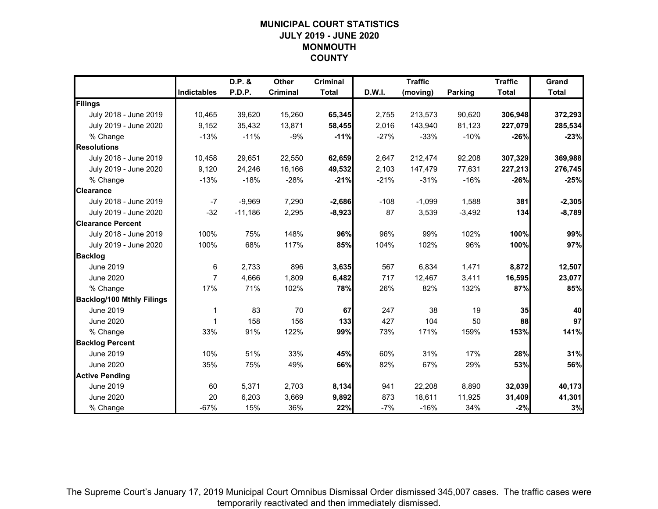# **MUNICIPAL COURT STATISTICSJULY 2019 - JUNE 2020MONMOUTHCOUNTY**

|                                  |                    | D.P. &    | Other           | <b>Criminal</b> |        | <b>Traffic</b> |                | <b>Traffic</b> | Grand        |
|----------------------------------|--------------------|-----------|-----------------|-----------------|--------|----------------|----------------|----------------|--------------|
|                                  | <b>Indictables</b> | P.D.P.    | <b>Criminal</b> | <b>Total</b>    | D.W.I. | (moving)       | <b>Parking</b> | <b>Total</b>   | <b>Total</b> |
| Filings                          |                    |           |                 |                 |        |                |                |                |              |
| July 2018 - June 2019            | 10,465             | 39,620    | 15,260          | 65,345          | 2,755  | 213,573        | 90,620         | 306,948        | 372,293      |
| July 2019 - June 2020            | 9,152              | 35,432    | 13.871          | 58,455          | 2,016  | 143,940        | 81,123         | 227,079        | 285,534      |
| % Change                         | $-13%$             | $-11%$    | $-9%$           | $-11%$          | $-27%$ | $-33%$         | $-10%$         | $-26%$         | $-23%$       |
| <b>Resolutions</b>               |                    |           |                 |                 |        |                |                |                |              |
| July 2018 - June 2019            | 10,458             | 29,651    | 22,550          | 62,659          | 2,647  | 212,474        | 92,208         | 307,329        | 369,988      |
| July 2019 - June 2020            | 9,120              | 24,246    | 16,166          | 49,532          | 2,103  | 147,479        | 77,631         | 227,213        | 276,745      |
| % Change                         | $-13%$             | $-18%$    | $-28%$          | $-21%$          | $-21%$ | $-31%$         | $-16%$         | $-26%$         | $-25%$       |
| <b>Clearance</b>                 |                    |           |                 |                 |        |                |                |                |              |
| July 2018 - June 2019            | $-7$               | $-9,969$  | 7,290           | $-2,686$        | $-108$ | $-1,099$       | 1,588          | 381            | $-2,305$     |
| July 2019 - June 2020            | $-32$              | $-11,186$ | 2,295           | $-8,923$        | 87     | 3,539          | $-3,492$       | 134            | $-8,789$     |
| <b>Clearance Percent</b>         |                    |           |                 |                 |        |                |                |                |              |
| July 2018 - June 2019            | 100%               | 75%       | 148%            | 96%             | 96%    | 99%            | 102%           | 100%           | 99%          |
| July 2019 - June 2020            | 100%               | 68%       | 117%            | 85%             | 104%   | 102%           | 96%            | 100%           | 97%          |
| <b>Backlog</b>                   |                    |           |                 |                 |        |                |                |                |              |
| <b>June 2019</b>                 | 6                  | 2,733     | 896             | 3,635           | 567    | 6,834          | 1,471          | 8,872          | 12,507       |
| <b>June 2020</b>                 | $\overline{7}$     | 4,666     | 1,809           | 6,482           | 717    | 12,467         | 3,411          | 16,595         | 23,077       |
| % Change                         | 17%                | 71%       | 102%            | 78%             | 26%    | 82%            | 132%           | 87%            | 85%          |
| <b>Backlog/100 Mthly Filings</b> |                    |           |                 |                 |        |                |                |                |              |
| June 2019                        | $\mathbf{1}$       | 83        | 70              | 67              | 247    | 38             | 19             | 35             | 40           |
| <b>June 2020</b>                 | 1                  | 158       | 156             | 133             | 427    | 104            | 50             | 88             | 97           |
| % Change                         | 33%                | 91%       | 122%            | 99%             | 73%    | 171%           | 159%           | 153%           | 141%         |
| <b>Backlog Percent</b>           |                    |           |                 |                 |        |                |                |                |              |
| <b>June 2019</b>                 | 10%                | 51%       | 33%             | 45%             | 60%    | 31%            | 17%            | 28%            | 31%          |
| <b>June 2020</b>                 | 35%                | 75%       | 49%             | 66%             | 82%    | 67%            | 29%            | 53%            | 56%          |
| <b>Active Pending</b>            |                    |           |                 |                 |        |                |                |                |              |
| June 2019                        | 60                 | 5,371     | 2,703           | 8,134           | 941    | 22,208         | 8,890          | 32,039         | 40,173       |
| <b>June 2020</b>                 | 20                 | 6,203     | 3,669           | 9,892           | 873    | 18,611         | 11,925         | 31,409         | 41,301       |
| % Change                         | $-67%$             | 15%       | 36%             | 22%             | $-7%$  | $-16%$         | 34%            | $-2%$          | 3%           |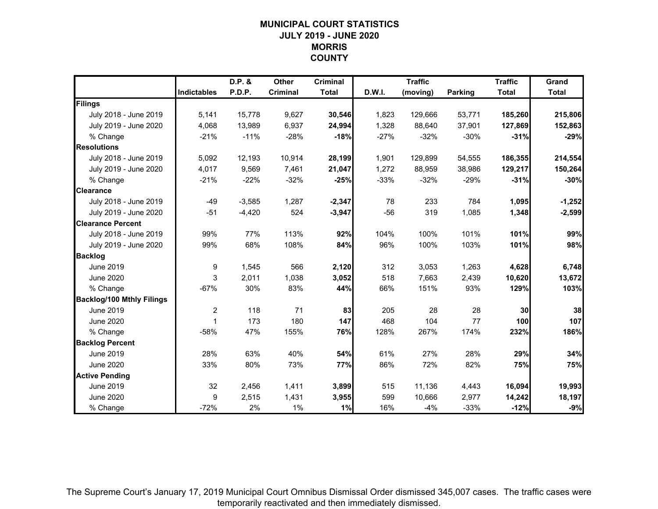# **MUNICIPAL COURT STATISTICSJULY 2019 - JUNE 2020MORRISCOUNTY**

|                                  |                    | D.P. &   | Other           | <b>Criminal</b> |        | <b>Traffic</b> |         | <b>Traffic</b> | Grand        |
|----------------------------------|--------------------|----------|-----------------|-----------------|--------|----------------|---------|----------------|--------------|
|                                  | <b>Indictables</b> | P.D.P.   | <b>Criminal</b> | <b>Total</b>    | D.W.I. | (moving)       | Parking | <b>Total</b>   | <b>Total</b> |
| Filings                          |                    |          |                 |                 |        |                |         |                |              |
| July 2018 - June 2019            | 5,141              | 15,778   | 9,627           | 30,546          | 1,823  | 129,666        | 53,771  | 185,260        | 215,806      |
| July 2019 - June 2020            | 4,068              | 13,989   | 6,937           | 24,994          | 1,328  | 88,640         | 37,901  | 127,869        | 152,863      |
| % Change                         | $-21%$             | $-11%$   | $-28%$          | $-18%$          | $-27%$ | $-32%$         | $-30%$  | $-31%$         | $-29%$       |
| <b>Resolutions</b>               |                    |          |                 |                 |        |                |         |                |              |
| July 2018 - June 2019            | 5,092              | 12,193   | 10,914          | 28,199          | 1,901  | 129,899        | 54,555  | 186,355        | 214,554      |
| July 2019 - June 2020            | 4,017              | 9,569    | 7,461           | 21,047          | 1,272  | 88,959         | 38,986  | 129,217        | 150,264      |
| % Change                         | $-21%$             | $-22%$   | $-32%$          | $-25%$          | $-33%$ | $-32%$         | $-29%$  | $-31%$         | $-30%$       |
| <b>Clearance</b>                 |                    |          |                 |                 |        |                |         |                |              |
| July 2018 - June 2019            | $-49$              | $-3,585$ | 1,287           | $-2,347$        | 78     | 233            | 784     | 1,095          | $-1,252$     |
| July 2019 - June 2020            | $-51$              | $-4,420$ | 524             | $-3,947$        | $-56$  | 319            | 1,085   | 1,348          | $-2,599$     |
| <b>Clearance Percent</b>         |                    |          |                 |                 |        |                |         |                |              |
| July 2018 - June 2019            | 99%                | 77%      | 113%            | 92%             | 104%   | 100%           | 101%    | 101%           | 99%          |
| July 2019 - June 2020            | 99%                | 68%      | 108%            | 84%             | 96%    | 100%           | 103%    | 101%           | 98%          |
| <b>Backlog</b>                   |                    |          |                 |                 |        |                |         |                |              |
| <b>June 2019</b>                 | 9                  | 1,545    | 566             | 2,120           | 312    | 3,053          | 1,263   | 4,628          | 6,748        |
| <b>June 2020</b>                 | 3                  | 2,011    | 1,038           | 3,052           | 518    | 7,663          | 2,439   | 10,620         | 13,672       |
| % Change                         | $-67%$             | 30%      | 83%             | 44%             | 66%    | 151%           | 93%     | 129%           | 103%         |
| <b>Backlog/100 Mthly Filings</b> |                    |          |                 |                 |        |                |         |                |              |
| June 2019                        | 2                  | 118      | 71              | 83              | 205    | 28             | 28      | 30             | 38           |
| <b>June 2020</b>                 | 1                  | 173      | 180             | 147             | 468    | 104            | 77      | 100            | 107          |
| % Change                         | $-58%$             | 47%      | 155%            | 76%             | 128%   | 267%           | 174%    | 232%           | 186%         |
| <b>Backlog Percent</b>           |                    |          |                 |                 |        |                |         |                |              |
| <b>June 2019</b>                 | 28%                | 63%      | 40%             | 54%             | 61%    | 27%            | 28%     | 29%            | 34%          |
| <b>June 2020</b>                 | 33%                | 80%      | 73%             | 77%             | 86%    | 72%            | 82%     | 75%            | 75%          |
| <b>Active Pending</b>            |                    |          |                 |                 |        |                |         |                |              |
| June 2019                        | 32                 | 2,456    | 1,411           | 3,899           | 515    | 11,136         | 4,443   | 16,094         | 19,993       |
| <b>June 2020</b>                 | 9                  | 2,515    | 1,431           | 3,955           | 599    | 10,666         | 2,977   | 14,242         | 18,197       |
| % Change                         | $-72%$             | 2%       | 1%              | 1%              | 16%    | $-4%$          | $-33%$  | $-12%$         | $-9%$        |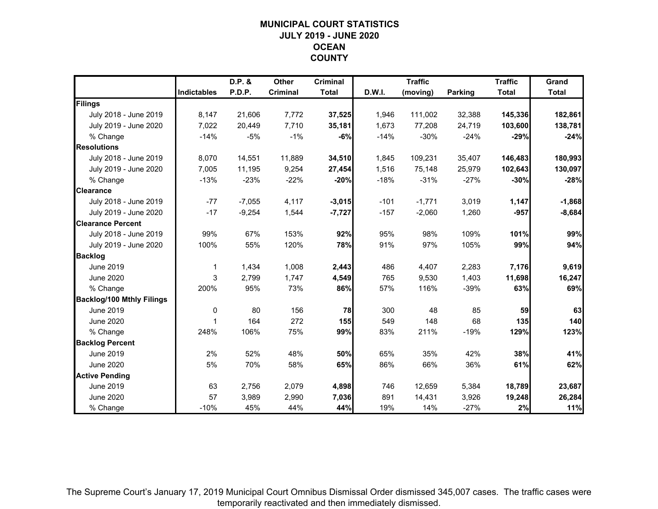# **MUNICIPAL COURT STATISTICSJULY 2019 - JUNE 2020OCEANCOUNTY**

|                                  |                    | D.P. &   | Other           | <b>Criminal</b> |        | <b>Traffic</b> |                | <b>Traffic</b> | Grand        |
|----------------------------------|--------------------|----------|-----------------|-----------------|--------|----------------|----------------|----------------|--------------|
|                                  | <b>Indictables</b> | P.D.P.   | <b>Criminal</b> | <b>Total</b>    | D.W.I. | (moving)       | <b>Parking</b> | <b>Total</b>   | <b>Total</b> |
| Filings                          |                    |          |                 |                 |        |                |                |                |              |
| July 2018 - June 2019            | 8,147              | 21,606   | 7,772           | 37,525          | 1,946  | 111,002        | 32,388         | 145,336        | 182,861      |
| July 2019 - June 2020            | 7,022              | 20,449   | 7,710           | 35,181          | 1,673  | 77,208         | 24,719         | 103,600        | 138,781      |
| % Change                         | $-14%$             | $-5%$    | $-1%$           | $-6%$           | $-14%$ | $-30%$         | $-24%$         | $-29%$         | $-24%$       |
| <b>Resolutions</b>               |                    |          |                 |                 |        |                |                |                |              |
| July 2018 - June 2019            | 8,070              | 14,551   | 11,889          | 34,510          | 1,845  | 109,231        | 35,407         | 146,483        | 180,993      |
| July 2019 - June 2020            | 7,005              | 11,195   | 9,254           | 27,454          | 1,516  | 75,148         | 25,979         | 102,643        | 130,097      |
| % Change                         | $-13%$             | $-23%$   | $-22%$          | $-20%$          | $-18%$ | $-31%$         | $-27%$         | $-30%$         | $-28%$       |
| <b>Clearance</b>                 |                    |          |                 |                 |        |                |                |                |              |
| July 2018 - June 2019            | $-77$              | $-7,055$ | 4,117           | $-3,015$        | $-101$ | $-1,771$       | 3,019          | 1,147          | $-1,868$     |
| July 2019 - June 2020            | $-17$              | $-9,254$ | 1,544           | $-7,727$        | $-157$ | $-2,060$       | 1,260          | $-957$         | $-8,684$     |
| <b>Clearance Percent</b>         |                    |          |                 |                 |        |                |                |                |              |
| July 2018 - June 2019            | 99%                | 67%      | 153%            | 92%             | 95%    | 98%            | 109%           | 101%           | 99%          |
| July 2019 - June 2020            | 100%               | 55%      | 120%            | 78%             | 91%    | 97%            | 105%           | 99%            | 94%          |
| <b>Backlog</b>                   |                    |          |                 |                 |        |                |                |                |              |
| <b>June 2019</b>                 | 1                  | 1,434    | 1,008           | 2,443           | 486    | 4,407          | 2,283          | 7,176          | 9,619        |
| <b>June 2020</b>                 | 3                  | 2,799    | 1,747           | 4,549           | 765    | 9,530          | 1,403          | 11,698         | 16,247       |
| % Change                         | 200%               | 95%      | 73%             | 86%             | 57%    | 116%           | $-39%$         | 63%            | 69%          |
| <b>Backlog/100 Mthly Filings</b> |                    |          |                 |                 |        |                |                |                |              |
| <b>June 2019</b>                 | $\mathbf 0$        | 80       | 156             | 78              | 300    | 48             | 85             | 59             | 63           |
| <b>June 2020</b>                 | 1                  | 164      | 272             | 155             | 549    | 148            | 68             | 135            | 140          |
| % Change                         | 248%               | 106%     | 75%             | 99%             | 83%    | 211%           | $-19%$         | 129%           | 123%         |
| <b>Backlog Percent</b>           |                    |          |                 |                 |        |                |                |                |              |
| <b>June 2019</b>                 | 2%                 | 52%      | 48%             | 50%             | 65%    | 35%            | 42%            | 38%            | 41%          |
| <b>June 2020</b>                 | 5%                 | 70%      | 58%             | 65%             | 86%    | 66%            | 36%            | 61%            | 62%          |
| <b>Active Pending</b>            |                    |          |                 |                 |        |                |                |                |              |
| <b>June 2019</b>                 | 63                 | 2,756    | 2,079           | 4,898           | 746    | 12,659         | 5,384          | 18,789         | 23,687       |
| <b>June 2020</b>                 | 57                 | 3,989    | 2,990           | 7,036           | 891    | 14,431         | 3,926          | 19,248         | 26,284       |
| % Change                         | $-10%$             | 45%      | 44%             | 44%             | 19%    | 14%            | $-27%$         | 2%             | 11%          |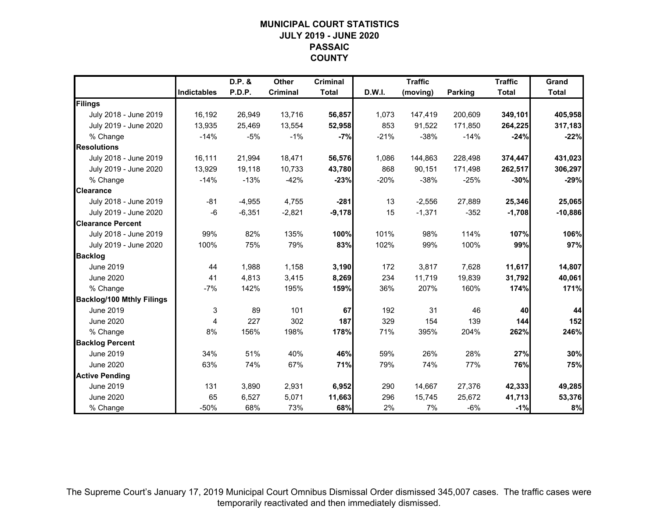# **MUNICIPAL COURT STATISTICSJULY 2019 - JUNE 2020PASSAICCOUNTY**

|                                  |                    | D.P. &   | Other           | <b>Criminal</b> |        | <b>Traffic</b> |                | <b>Traffic</b> | Grand        |
|----------------------------------|--------------------|----------|-----------------|-----------------|--------|----------------|----------------|----------------|--------------|
|                                  | <b>Indictables</b> | P.D.P.   | <b>Criminal</b> | <b>Total</b>    | D.W.I. | (moving)       | <b>Parking</b> | <b>Total</b>   | <b>Total</b> |
| Filings                          |                    |          |                 |                 |        |                |                |                |              |
| July 2018 - June 2019            | 16,192             | 26,949   | 13,716          | 56,857          | 1,073  | 147,419        | 200,609        | 349,101        | 405,958      |
| July 2019 - June 2020            | 13,935             | 25.469   | 13,554          | 52,958          | 853    | 91,522         | 171,850        | 264,225        | 317,183      |
| % Change                         | $-14%$             | $-5%$    | $-1%$           | $-7%$           | $-21%$ | $-38%$         | $-14%$         | $-24%$         | $-22%$       |
| <b>Resolutions</b>               |                    |          |                 |                 |        |                |                |                |              |
| July 2018 - June 2019            | 16,111             | 21,994   | 18,471          | 56,576          | 1,086  | 144,863        | 228,498        | 374,447        | 431,023      |
| July 2019 - June 2020            | 13,929             | 19,118   | 10,733          | 43,780          | 868    | 90,151         | 171,498        | 262,517        | 306,297      |
| % Change                         | $-14%$             | $-13%$   | $-42%$          | $-23%$          | $-20%$ | $-38%$         | $-25%$         | $-30%$         | $-29%$       |
| <b>Clearance</b>                 |                    |          |                 |                 |        |                |                |                |              |
| July 2018 - June 2019            | $-81$              | $-4,955$ | 4,755           | $-281$          | 13     | $-2,556$       | 27,889         | 25,346         | 25,065       |
| July 2019 - June 2020            | $-6$               | $-6,351$ | $-2,821$        | $-9,178$        | 15     | $-1,371$       | $-352$         | $-1,708$       | $-10,886$    |
| <b>Clearance Percent</b>         |                    |          |                 |                 |        |                |                |                |              |
| July 2018 - June 2019            | 99%                | 82%      | 135%            | 100%            | 101%   | 98%            | 114%           | 107%           | 106%         |
| July 2019 - June 2020            | 100%               | 75%      | 79%             | 83%             | 102%   | 99%            | 100%           | 99%            | 97%          |
| <b>Backlog</b>                   |                    |          |                 |                 |        |                |                |                |              |
| <b>June 2019</b>                 | 44                 | 1,988    | 1,158           | 3,190           | 172    | 3,817          | 7,628          | 11,617         | 14,807       |
| <b>June 2020</b>                 | 41                 | 4,813    | 3,415           | 8,269           | 234    | 11,719         | 19,839         | 31,792         | 40,061       |
| % Change                         | $-7%$              | 142%     | 195%            | 159%            | 36%    | 207%           | 160%           | 174%           | 171%         |
| <b>Backlog/100 Mthly Filings</b> |                    |          |                 |                 |        |                |                |                |              |
| June 2019                        | 3                  | 89       | 101             | 67              | 192    | 31             | 46             | 40             | 44           |
| <b>June 2020</b>                 | 4                  | 227      | 302             | 187             | 329    | 154            | 139            | 144            | 152          |
| % Change                         | 8%                 | 156%     | 198%            | 178%            | 71%    | 395%           | 204%           | 262%           | 246%         |
| <b>Backlog Percent</b>           |                    |          |                 |                 |        |                |                |                |              |
| <b>June 2019</b>                 | 34%                | 51%      | 40%             | 46%             | 59%    | 26%            | 28%            | 27%            | 30%          |
| June 2020                        | 63%                | 74%      | 67%             | 71%             | 79%    | 74%            | 77%            | 76%            | 75%          |
| <b>Active Pending</b>            |                    |          |                 |                 |        |                |                |                |              |
| June 2019                        | 131                | 3,890    | 2,931           | 6,952           | 290    | 14,667         | 27,376         | 42,333         | 49,285       |
| <b>June 2020</b>                 | 65                 | 6,527    | 5,071           | 11,663          | 296    | 15,745         | 25,672         | 41,713         | 53,376       |
| % Change                         | $-50%$             | 68%      | 73%             | 68%             | 2%     | 7%             | $-6%$          | $-1%$          | 8%           |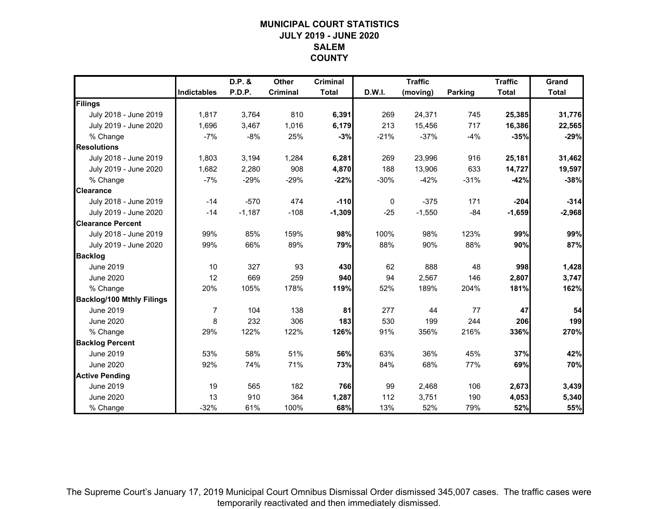# **MUNICIPAL COURT STATISTICSJULY 2019 - JUNE 2020SALEM COUNTY**

|                                  |                    | D.P. &   | Other           | <b>Criminal</b> |        | <b>Traffic</b> |         | <b>Traffic</b> | Grand        |
|----------------------------------|--------------------|----------|-----------------|-----------------|--------|----------------|---------|----------------|--------------|
|                                  | <b>Indictables</b> | P.D.P.   | <b>Criminal</b> | <b>Total</b>    | D.W.I. | (moving)       | Parking | <b>Total</b>   | <b>Total</b> |
| Filings                          |                    |          |                 |                 |        |                |         |                |              |
| July 2018 - June 2019            | 1,817              | 3,764    | 810             | 6,391           | 269    | 24,371         | 745     | 25,385         | 31,776       |
| July 2019 - June 2020            | 1,696              | 3.467    | 1,016           | 6,179           | 213    | 15,456         | 717     | 16,386         | 22,565       |
| % Change                         | $-7%$              | $-8%$    | 25%             | $-3%$           | $-21%$ | $-37%$         | $-4%$   | $-35%$         | $-29%$       |
| <b>Resolutions</b>               |                    |          |                 |                 |        |                |         |                |              |
| July 2018 - June 2019            | 1,803              | 3,194    | 1,284           | 6,281           | 269    | 23,996         | 916     | 25,181         | 31,462       |
| July 2019 - June 2020            | 1,682              | 2,280    | 908             | 4,870           | 188    | 13,906         | 633     | 14,727         | 19,597       |
| % Change                         | $-7%$              | $-29%$   | $-29%$          | $-22%$          | $-30%$ | $-42%$         | $-31%$  | $-42%$         | $-38%$       |
| <b>Clearance</b>                 |                    |          |                 |                 |        |                |         |                |              |
| July 2018 - June 2019            | $-14$              | $-570$   | 474             | $-110$          | 0      | $-375$         | 171     | $-204$         | $-314$       |
| July 2019 - June 2020            | $-14$              | $-1,187$ | $-108$          | $-1,309$        | $-25$  | $-1,550$       | $-84$   | $-1,659$       | $-2,968$     |
| <b>Clearance Percent</b>         |                    |          |                 |                 |        |                |         |                |              |
| July 2018 - June 2019            | 99%                | 85%      | 159%            | 98%             | 100%   | 98%            | 123%    | 99%            | 99%          |
| July 2019 - June 2020            | 99%                | 66%      | 89%             | 79%             | 88%    | 90%            | 88%     | 90%            | 87%          |
| <b>Backlog</b>                   |                    |          |                 |                 |        |                |         |                |              |
| <b>June 2019</b>                 | 10                 | 327      | 93              | 430             | 62     | 888            | 48      | 998            | 1,428        |
| <b>June 2020</b>                 | 12                 | 669      | 259             | 940             | 94     | 2,567          | 146     | 2,807          | 3,747        |
| % Change                         | 20%                | 105%     | 178%            | 119%            | 52%    | 189%           | 204%    | 181%           | 162%         |
| <b>Backlog/100 Mthly Filings</b> |                    |          |                 |                 |        |                |         |                |              |
| June 2019                        | 7                  | 104      | 138             | 81              | 277    | 44             | 77      | 47             | 54           |
| <b>June 2020</b>                 | 8                  | 232      | 306             | 183             | 530    | 199            | 244     | 206            | 199          |
| % Change                         | 29%                | 122%     | 122%            | 126%            | 91%    | 356%           | 216%    | 336%           | 270%         |
| <b>Backlog Percent</b>           |                    |          |                 |                 |        |                |         |                |              |
| <b>June 2019</b>                 | 53%                | 58%      | 51%             | 56%             | 63%    | 36%            | 45%     | 37%            | 42%          |
| <b>June 2020</b>                 | 92%                | 74%      | 71%             | 73%             | 84%    | 68%            | 77%     | 69%            | 70%          |
| <b>Active Pending</b>            |                    |          |                 |                 |        |                |         |                |              |
| June 2019                        | 19                 | 565      | 182             | 766             | 99     | 2,468          | 106     | 2,673          | 3,439        |
| <b>June 2020</b>                 | 13                 | 910      | 364             | 1,287           | 112    | 3,751          | 190     | 4,053          | 5,340        |
| % Change                         | $-32%$             | 61%      | 100%            | 68%             | 13%    | 52%            | 79%     | 52%            | 55%          |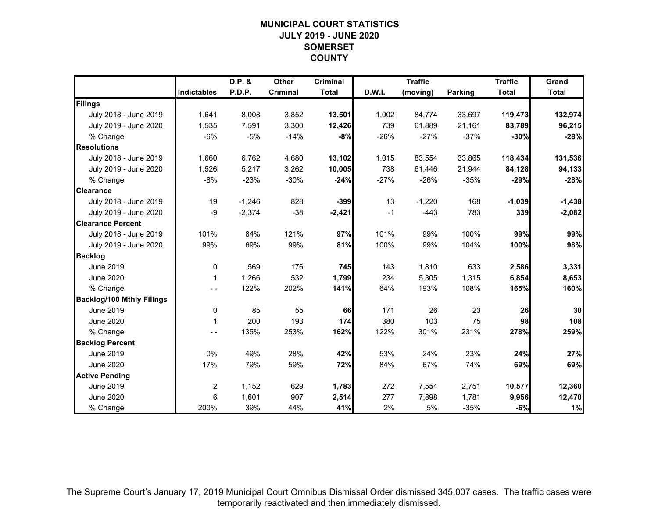# **MUNICIPAL COURT STATISTICSJULY 2019 - JUNE 2020SOMERSETCOUNTY**

|                                  |                    | D.P. &   | Other           | <b>Criminal</b> |        | <b>Traffic</b> |                | <b>Traffic</b> | Grand        |
|----------------------------------|--------------------|----------|-----------------|-----------------|--------|----------------|----------------|----------------|--------------|
|                                  | <b>Indictables</b> | P.D.P.   | <b>Criminal</b> | <b>Total</b>    | D.W.I. | (moving)       | <b>Parking</b> | <b>Total</b>   | <b>Total</b> |
| Filings                          |                    |          |                 |                 |        |                |                |                |              |
| July 2018 - June 2019            | 1,641              | 8,008    | 3,852           | 13,501          | 1,002  | 84,774         | 33,697         | 119,473        | 132,974      |
| July 2019 - June 2020            | 1,535              | 7.591    | 3,300           | 12,426          | 739    | 61,889         | 21,161         | 83,789         | 96,215       |
| % Change                         | $-6%$              | $-5%$    | $-14%$          | $-8%$           | $-26%$ | $-27%$         | $-37%$         | $-30%$         | $-28%$       |
| <b>Resolutions</b>               |                    |          |                 |                 |        |                |                |                |              |
| July 2018 - June 2019            | 1,660              | 6,762    | 4,680           | 13,102          | 1,015  | 83,554         | 33,865         | 118,434        | 131,536      |
| July 2019 - June 2020            | 1,526              | 5,217    | 3,262           | 10,005          | 738    | 61,446         | 21,944         | 84,128         | 94,133       |
| % Change                         | $-8%$              | $-23%$   | $-30%$          | $-24%$          | $-27%$ | $-26%$         | $-35%$         | $-29%$         | $-28%$       |
| <b>Clearance</b>                 |                    |          |                 |                 |        |                |                |                |              |
| July 2018 - June 2019            | 19                 | $-1,246$ | 828             | $-399$          | 13     | $-1,220$       | 168            | $-1,039$       | $-1,438$     |
| July 2019 - June 2020            | -9                 | $-2,374$ | $-38$           | $-2,421$        | $-1$   | $-443$         | 783            | 339            | $-2,082$     |
| <b>Clearance Percent</b>         |                    |          |                 |                 |        |                |                |                |              |
| July 2018 - June 2019            | 101%               | 84%      | 121%            | 97%             | 101%   | 99%            | 100%           | 99%            | 99%          |
| July 2019 - June 2020            | 99%                | 69%      | 99%             | 81%             | 100%   | 99%            | 104%           | 100%           | 98%          |
| <b>Backlog</b>                   |                    |          |                 |                 |        |                |                |                |              |
| <b>June 2019</b>                 | $\mathbf 0$        | 569      | 176             | 745             | 143    | 1,810          | 633            | 2,586          | 3,331        |
| <b>June 2020</b>                 | 1                  | 1,266    | 532             | 1,799           | 234    | 5,305          | 1,315          | 6,854          | 8,653        |
| % Change                         |                    | 122%     | 202%            | 141%            | 64%    | 193%           | 108%           | 165%           | 160%         |
| <b>Backlog/100 Mthly Filings</b> |                    |          |                 |                 |        |                |                |                |              |
| June 2019                        | 0                  | 85       | 55              | 66              | 171    | 26             | 23             | 26             | 30           |
| <b>June 2020</b>                 | $\mathbf{1}$       | 200      | 193             | 174             | 380    | 103            | 75             | 98             | 108          |
| % Change                         | $ -$               | 135%     | 253%            | 162%            | 122%   | 301%           | 231%           | 278%           | 259%         |
| <b>Backlog Percent</b>           |                    |          |                 |                 |        |                |                |                |              |
| <b>June 2019</b>                 | 0%                 | 49%      | 28%             | 42%             | 53%    | 24%            | 23%            | 24%            | 27%          |
| <b>June 2020</b>                 | 17%                | 79%      | 59%             | 72%             | 84%    | 67%            | 74%            | 69%            | 69%          |
| <b>Active Pending</b>            |                    |          |                 |                 |        |                |                |                |              |
| June 2019                        | $\overline{c}$     | 1,152    | 629             | 1,783           | 272    | 7,554          | 2,751          | 10,577         | 12,360       |
| <b>June 2020</b>                 | 6                  | 1,601    | 907             | 2,514           | 277    | 7,898          | 1,781          | 9,956          | 12,470       |
| % Change                         | 200%               | 39%      | 44%             | 41%             | 2%     | 5%             | $-35%$         | $-6%$          | 1%           |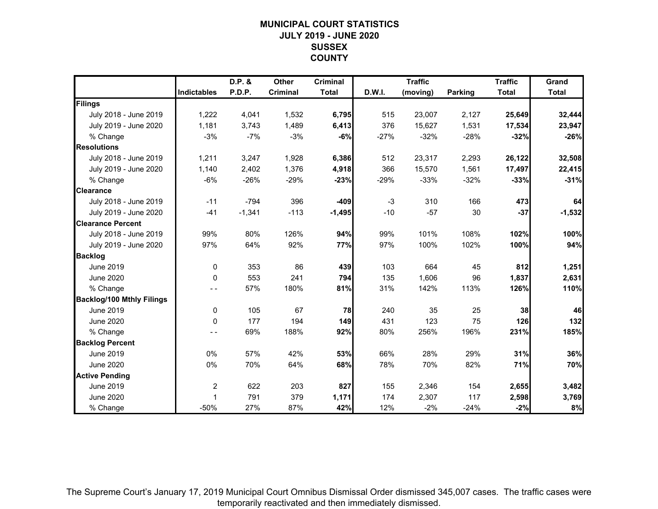# **MUNICIPAL COURT STATISTICSJULY 2019 - JUNE 2020SUSSEXCOUNTY**

|                                  |                    | D.P. &   | <b>Other</b> | <b>Criminal</b> |        | <b>Traffic</b> |                | <b>Traffic</b> | Grand        |
|----------------------------------|--------------------|----------|--------------|-----------------|--------|----------------|----------------|----------------|--------------|
|                                  | <b>Indictables</b> | P.D.P.   | Criminal     | <b>Total</b>    | D.W.I. | (moving)       | <b>Parking</b> | <b>Total</b>   | <b>Total</b> |
| Filings                          |                    |          |              |                 |        |                |                |                |              |
| July 2018 - June 2019            | 1,222              | 4,041    | 1,532        | 6,795           | 515    | 23,007         | 2,127          | 25,649         | 32,444       |
| July 2019 - June 2020            | 1,181              | 3,743    | 1,489        | 6,413           | 376    | 15,627         | 1,531          | 17,534         | 23,947       |
| % Change                         | $-3%$              | $-7%$    | $-3%$        | $-6%$           | $-27%$ | $-32%$         | $-28%$         | $-32%$         | $-26%$       |
| <b>Resolutions</b>               |                    |          |              |                 |        |                |                |                |              |
| July 2018 - June 2019            | 1,211              | 3,247    | 1,928        | 6,386           | 512    | 23,317         | 2,293          | 26,122         | 32,508       |
| July 2019 - June 2020            | 1,140              | 2,402    | 1,376        | 4,918           | 366    | 15,570         | 1,561          | 17,497         | 22,415       |
| % Change                         | $-6%$              | $-26%$   | $-29%$       | $-23%$          | $-29%$ | $-33%$         | $-32%$         | $-33%$         | $-31%$       |
| <b>Clearance</b>                 |                    |          |              |                 |        |                |                |                |              |
| July 2018 - June 2019            | $-11$              | $-794$   | 396          | $-409$          | $-3$   | 310            | 166            | 473            | 64           |
| July 2019 - June 2020            | $-41$              | $-1,341$ | $-113$       | $-1,495$        | $-10$  | $-57$          | 30             | $-37$          | $-1,532$     |
| <b>Clearance Percent</b>         |                    |          |              |                 |        |                |                |                |              |
| July 2018 - June 2019            | 99%                | 80%      | 126%         | 94%             | 99%    | 101%           | 108%           | 102%           | 100%         |
| July 2019 - June 2020            | 97%                | 64%      | 92%          | 77%             | 97%    | 100%           | 102%           | 100%           | 94%          |
| <b>Backlog</b>                   |                    |          |              |                 |        |                |                |                |              |
| <b>June 2019</b>                 | $\mathbf 0$        | 353      | 86           | 439             | 103    | 664            | 45             | 812            | 1,251        |
| <b>June 2020</b>                 | $\Omega$           | 553      | 241          | 794             | 135    | 1,606          | 96             | 1,837          | 2,631        |
| % Change                         |                    | 57%      | 180%         | 81%             | 31%    | 142%           | 113%           | 126%           | 110%         |
| <b>Backlog/100 Mthly Filings</b> |                    |          |              |                 |        |                |                |                |              |
| June 2019                        | 0                  | 105      | 67           | 78              | 240    | 35             | 25             | 38             | 46           |
| <b>June 2020</b>                 | $\Omega$           | 177      | 194          | 149             | 431    | 123            | 75             | 126            | 132          |
| % Change                         |                    | 69%      | 188%         | 92%             | 80%    | 256%           | 196%           | 231%           | 185%         |
| <b>Backlog Percent</b>           |                    |          |              |                 |        |                |                |                |              |
| <b>June 2019</b>                 | 0%                 | 57%      | 42%          | 53%             | 66%    | 28%            | 29%            | 31%            | 36%          |
| <b>June 2020</b>                 | 0%                 | 70%      | 64%          | 68%             | 78%    | 70%            | 82%            | 71%            | 70%          |
| <b>Active Pending</b>            |                    |          |              |                 |        |                |                |                |              |
| June 2019                        | $\overline{c}$     | 622      | 203          | 827             | 155    | 2,346          | 154            | 2,655          | 3,482        |
| <b>June 2020</b>                 | 1                  | 791      | 379          | 1,171           | 174    | 2,307          | 117            | 2,598          | 3,769        |
| % Change                         | $-50%$             | 27%      | 87%          | 42%             | 12%    | $-2%$          | $-24%$         | $-2%$          | 8%           |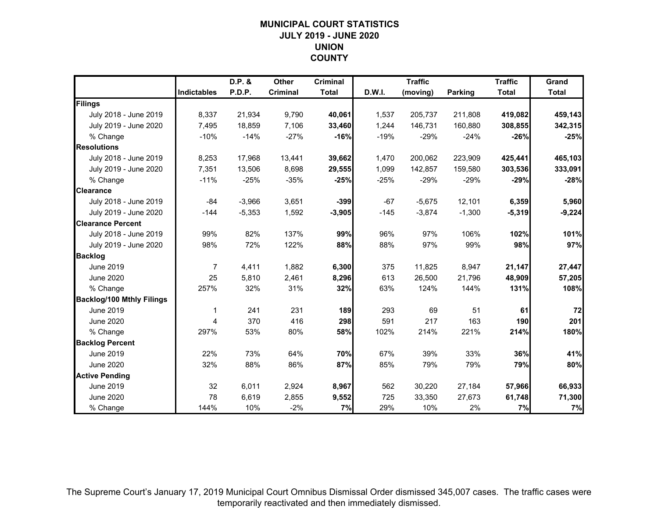# **MUNICIPAL COURT STATISTICSJULY 2019 - JUNE 2020UNIONCOUNTY**

|                                  |                    | D.P. &   | Other           | <b>Criminal</b> |        | <b>Traffic</b> |                | <b>Traffic</b> | Grand        |
|----------------------------------|--------------------|----------|-----------------|-----------------|--------|----------------|----------------|----------------|--------------|
|                                  | <b>Indictables</b> | P.D.P.   | <b>Criminal</b> | <b>Total</b>    | D.W.I. | (moving)       | <b>Parking</b> | <b>Total</b>   | <b>Total</b> |
| Filings                          |                    |          |                 |                 |        |                |                |                |              |
| July 2018 - June 2019            | 8,337              | 21,934   | 9,790           | 40,061          | 1,537  | 205,737        | 211,808        | 419,082        | 459,143      |
| July 2019 - June 2020            | 7.495              | 18,859   | 7,106           | 33,460          | 1,244  | 146,731        | 160,880        | 308,855        | 342,315      |
| % Change                         | $-10%$             | $-14%$   | $-27%$          | $-16%$          | $-19%$ | $-29%$         | $-24%$         | $-26%$         | $-25%$       |
| <b>Resolutions</b>               |                    |          |                 |                 |        |                |                |                |              |
| July 2018 - June 2019            | 8,253              | 17,968   | 13,441          | 39,662          | 1,470  | 200,062        | 223,909        | 425,441        | 465,103      |
| July 2019 - June 2020            | 7,351              | 13,506   | 8,698           | 29,555          | 1,099  | 142,857        | 159,580        | 303,536        | 333,091      |
| % Change                         | $-11%$             | $-25%$   | $-35%$          | $-25%$          | $-25%$ | $-29%$         | $-29%$         | $-29%$         | $-28%$       |
| <b>Clearance</b>                 |                    |          |                 |                 |        |                |                |                |              |
| July 2018 - June 2019            | $-84$              | $-3,966$ | 3,651           | $-399$          | $-67$  | $-5,675$       | 12,101         | 6,359          | 5,960        |
| July 2019 - June 2020            | $-144$             | $-5,353$ | 1,592           | $-3,905$        | $-145$ | $-3,874$       | $-1,300$       | $-5,319$       | $-9,224$     |
| <b>Clearance Percent</b>         |                    |          |                 |                 |        |                |                |                |              |
| July 2018 - June 2019            | 99%                | 82%      | 137%            | 99%             | 96%    | 97%            | 106%           | 102%           | 101%         |
| July 2019 - June 2020            | 98%                | 72%      | 122%            | 88%             | 88%    | 97%            | 99%            | 98%            | 97%          |
| <b>Backlog</b>                   |                    |          |                 |                 |        |                |                |                |              |
| <b>June 2019</b>                 | $\overline{7}$     | 4,411    | 1,882           | 6,300           | 375    | 11,825         | 8,947          | 21,147         | 27,447       |
| June 2020                        | 25                 | 5,810    | 2,461           | 8,296           | 613    | 26,500         | 21,796         | 48,909         | 57,205       |
| % Change                         | 257%               | 32%      | 31%             | 32%             | 63%    | 124%           | 144%           | 131%           | 108%         |
| <b>Backlog/100 Mthly Filings</b> |                    |          |                 |                 |        |                |                |                |              |
| June 2019                        | 1                  | 241      | 231             | 189             | 293    | 69             | 51             | 61             | 72           |
| <b>June 2020</b>                 | 4                  | 370      | 416             | 298             | 591    | 217            | 163            | 190            | 201          |
| % Change                         | 297%               | 53%      | 80%             | 58%             | 102%   | 214%           | 221%           | 214%           | 180%         |
| <b>Backlog Percent</b>           |                    |          |                 |                 |        |                |                |                |              |
| <b>June 2019</b>                 | 22%                | 73%      | 64%             | 70%             | 67%    | 39%            | 33%            | 36%            | 41%          |
| June 2020                        | 32%                | 88%      | 86%             | 87%             | 85%    | 79%            | 79%            | 79%            | 80%          |
| <b>Active Pending</b>            |                    |          |                 |                 |        |                |                |                |              |
| June 2019                        | 32                 | 6,011    | 2,924           | 8,967           | 562    | 30,220         | 27,184         | 57,966         | 66,933       |
| <b>June 2020</b>                 | 78                 | 6,619    | 2,855           | 9,552           | 725    | 33,350         | 27,673         | 61,748         | 71,300       |
| % Change                         | 144%               | 10%      | $-2%$           | 7%              | 29%    | 10%            | 2%             | 7%             | 7%           |